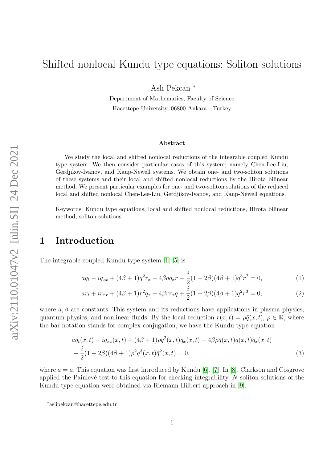# Shifted nonlocal Kundu type equations: Soliton solutions

Aslı Pekcan <sup>∗</sup>

Department of Mathematics, Faculty of Science Hacettepe University, 06800 Ankara - Turkey

#### <span id="page-0-1"></span><span id="page-0-0"></span>Abstract

We study the local and shifted nonlocal reductions of the integrable coupled Kundu type system. We then consider particular cases of this system; namely Chen-Lee-Liu, Gerdjikov-Ivanov, and Kaup-Newell systems. We obtain one- and two-soliton solutions of these systems and their local and shifted nonlocal reductions by the Hirota bilinear method. We present particular examples for one- and two-soliton solutions of the reduced local and shifted nonlocal Chen-Lee-Liu, Gerdjikov-Ivanov, and Kaup-Newell equations.

Keywords: Kundu type equations, local and shifted nonlocal reductions, Hirota bilinear method, soliton solutions

## 1 Introduction

The integrable coupled Kundu type system [\[1\]](#page-20-0)-[\[5\]](#page-20-1) is

$$
aq_t - iq_{xx} + (4\beta + 1)q^2r_x + 4\beta qq_xr - \frac{i}{2}(1 + 2\beta)(4\beta + 1)q^3r^2 = 0,
$$
\n(1)

$$
ar_t + ir_{xx} + (4\beta + 1)r^2q_x + 4\beta rr_xq + \frac{i}{2}(1+2\beta)(4\beta + 1)q^2r^3 = 0,
$$
\n(2)

where  $a, \beta$  are constants. This system and its reductions have applications in plasma physics, quantum physics, and nonlinear fluids. By the local reduction  $r(x, t) = \rho \bar{q}(x, t)$ ,  $\rho \in \mathbb{R}$ , where the bar notation stands for complex conjugation, we have the Kundu type equation

$$
aq_t(x,t) - iq_{xx}(x,t) + (4\beta + 1)\rho q^2(x,t)\bar{q}_x(x,t) + 4\beta \rho \bar{q}(x,t)q(x,t)q_x(x,t) - \frac{i}{2}(1+2\beta)(4\beta+1)\rho^2 q^3(x,t)\bar{q}^2(x,t) = 0,
$$
\n(3)

where  $a = \bar{a}$ . This equation was first introduced by Kundu [\[6\]](#page-20-2), [\[7\]](#page-20-3). In [\[8\]](#page-20-4), Clarkson and Cosgrove applied the Painlevé test to this equation for checking integrability.  $N$ -soliton solutions of the Kundu type equation were obtained via Riemann-Hilbert approach in [\[9\]](#page-20-5).

<sup>∗</sup>aslipekcan@hacettepe.edu.tr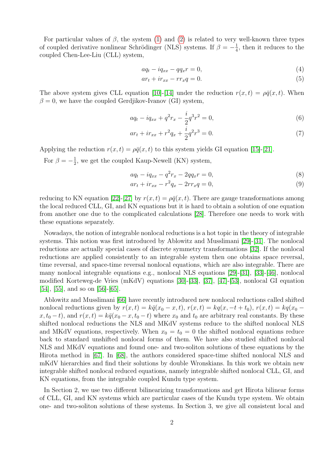For particular values of  $\beta$ , the system [\(1\)](#page-0-0) and [\(2\)](#page-0-1) is related to very well-known three types of coupled derivative nonlinear Schrödinger (NLS) systems. If  $\beta = -\frac{1}{4}$  $\frac{1}{4}$ , then it reduces to the coupled Chen-Lee-Liu (CLL) system,

<span id="page-1-1"></span><span id="page-1-0"></span>
$$
aq_t - iq_{xx} - qq_x r = 0,
$$
\n<sup>(4)</sup>

<span id="page-1-3"></span><span id="page-1-2"></span>
$$
ar_t + ir_{xx} - rr_x q = 0.
$$
\n<sup>(5)</sup>

The above system gives CLL equation [\[10\]](#page-20-6)-[\[14\]](#page-21-0) under the reduction  $r(x,t) = \rho \bar{q}(x,t)$ . When  $\beta = 0$ , we have the coupled Gerdjikov-Ivanov (GI) system,

$$
aq_t - iq_{xx} + q^2r_x - \frac{i}{2}q^3r^2 = 0,
$$
\t(6)

$$
ar_t + ir_{xx} + r^2 q_x + \frac{i}{2} q^2 r^3 = 0.
$$
\n(7)

Applying the reduction  $r(x, t) = \rho \bar{q}(x, t)$  to this system yields GI equation [\[15\]](#page-21-1)-[\[21\]](#page-21-2).

For  $\beta = -\frac{1}{2}$  $\frac{1}{2}$ , we get the coupled Kaup-Newell (KN) system,

<span id="page-1-4"></span>
$$
aq_t - iq_{xx} - q^2r_x - 2qq_x r = 0,
$$
\n(8)

<span id="page-1-5"></span>
$$
ar_t + ir_{xx} - r^2 q_x - 2rr_x q = 0,
$$
\n(9)

reducing to KN equation [\[22\]](#page-21-3)-[\[27\]](#page-21-4) by  $r(x,t) = \rho \bar{q}(x,t)$ . There are gauge transformations among the local reduced CLL, GI, and KN equations but it is hard to obtain a solution of one equation from another one due to the complicated calculations [\[28\]](#page-22-0). Therefore one needs to work with these equations separately.

Nowadays, the notion of integrable nonlocal reductions is a hot topic in the theory of integrable systems. This notion was first introduced by Ablowitz and Musslimani [\[29\]](#page-22-1)-[\[31\]](#page-22-2). The nonlocal reductions are actually special cases of discrete symmetry transformations [\[32\]](#page-22-3). If the nonlocal reductions are applied consistently to an integrable system then one obtains space reversal, time reversal, and space-time reversal nonlocal equations, which are also integrable. There are many nonlocal integrable equations e.g., nonlocal NLS equations [\[29\]](#page-22-1)-[\[31\]](#page-22-2), [\[33\]](#page-22-4)-[\[46\]](#page-23-0), nonlocal modified Korteweg-de Vries (mKdV) equations [\[30\]](#page-22-5)-[\[33\]](#page-22-4), [\[37\]](#page-22-6), [\[47\]](#page-23-1)-[\[53\]](#page-23-2), nonlocal GI equation [\[54\]](#page-23-3), [\[55\]](#page-23-4), and so on [\[56\]](#page-23-5)-[\[65\]](#page-24-0).

Ablowitz and Musslimani [\[66\]](#page-24-1) have recently introduced new nonlocal reductions called shifted nonlocal reductions given by  $r(x,t) = k\bar{q}(x_0 - x, t)$ ,  $r(x,t) = kq(x, -t + t_0)$ ,  $r(x,t) = kq(x_0 - t_0)$  $x, t_0 - t$ , and  $r(x, t) = k\overline{q}(x_0 - x, t_0 - t)$  where  $x_0$  and  $t_0$  are arbitrary real constants. By these shifted nonlocal reductions the NLS and MKdV systems reduce to the shifted nonlocal NLS and MKdV equations, respectively. When  $x_0 = t_0 = 0$  the shifted nonlocal equations reduce back to standard unshifted nonlocal forms of them. We have also studied shifted nonlocal NLS and MKdV equations and found one- and two-soliton solutions of these equations by the Hirota method in [\[67\]](#page-24-2). In [\[68\]](#page-24-3), the authors considered space-time shifted nonlocal NLS and mKdV hierarchies and find their solutions by double Wronskians. In this work we obtain new integrable shifted nonlocal reduced equations, namely integrable shifted nonlocal CLL, GI, and KN equations, from the integrable coupled Kundu type system.

In Section 2, we use two different bilinearizing transformations and get Hirota bilinear forms of CLL, GI, and KN systems which are particular cases of the Kundu type system. We obtain one- and two-soliton solutions of these systems. In Section 3, we give all consistent local and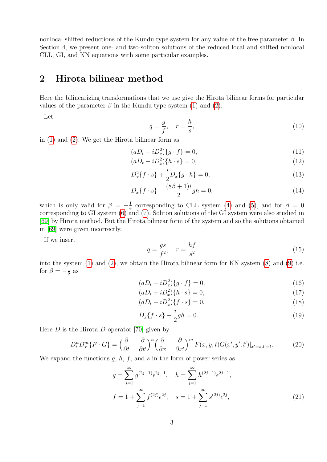nonlocal shifted reductions of the Kundu type system for any value of the free parameter  $\beta$ . In Section 4, we present one- and two-soliton solutions of the reduced local and shifted nonlocal CLL, GI, and KN equations with some particular examples.

# 2 Hirota bilinear method

Here the bilinearizing transformations that we use give the Hirota bilinear forms for particular values of the parameter  $\beta$  in the Kundu type system [\(1\)](#page-0-0) and [\(2\)](#page-0-1).

Let

<span id="page-2-1"></span><span id="page-2-0"></span>
$$
q = \frac{g}{f}, \quad r = \frac{h}{s},\tag{10}
$$

in [\(1\)](#page-0-0) and [\(2\)](#page-0-1). We get the Hirota bilinear form as

$$
(aD_t - iD_x^2)\{g \cdot f\} = 0,\t(11)
$$

$$
(aDt + iDx2)\{h \cdot s\} = 0,
$$
\n(12)

$$
D_x^2\{f \cdot s\} + \frac{i}{2}D_x\{g \cdot h\} = 0,\t\t(13)
$$

$$
D_x\{f \cdot s\} - \frac{(8\beta + 1)i}{2}gh = 0,\t\t(14)
$$

which is only valid for  $\beta = -\frac{1}{4}$  $\frac{1}{4}$  corresponding to CLL system [\(4\)](#page-1-0) and [\(5\)](#page-1-1), and for  $\beta = 0$ corresponding to GI system [\(6\)](#page-1-2) and [\(7\)](#page-1-3). Soliton solutions of the GI system were also studied in [\[69\]](#page-24-4) by Hirota method. But the Hirota bilinear form of the system and so the solutions obtained in [\[69\]](#page-24-4) were given incorrectly.

If we insert

<span id="page-2-5"></span><span id="page-2-2"></span>
$$
q = \frac{gs}{f^2}, \quad r = \frac{hf}{s^2} \tag{15}
$$

into the system  $(1)$  and  $(2)$ , we obtain the Hirota bilinear form for KN system  $(8)$  and  $(9)$  i.e. for  $\beta = -\frac{1}{2}$  $rac{1}{2}$  as

$$
(aD_t - iD_x^2)\{g \cdot f\} = 0,\t(16)
$$

$$
(aD_t + iD_x^2)\{h \cdot s\} = 0,\t(17)
$$

$$
(aD_t - iD_x^2)\{f \cdot s\} = 0,\t(18)
$$

<span id="page-2-4"></span><span id="page-2-3"></span>
$$
D_x\{f \cdot s\} + \frac{i}{2}gh = 0.
$$
 (19)

Here  $D$  is the Hirota  $D$ -operator [\[70\]](#page-24-5) given by

$$
D_t^n D_x^m \{ F \cdot G \} = \left( \frac{\partial}{\partial t} - \frac{\partial}{\partial t'} \right)^n \left( \frac{\partial}{\partial x} - \frac{\partial}{\partial x'} \right)^m F(x, y, t) G(x', y', t')|_{x'=x, t'=t}.
$$
 (20)

We expand the functions  $g, h, f$ , and  $s$  in the form of power series as

$$
g = \sum_{j=1}^{\infty} g^{(2j-1)} \epsilon^{2j-1}, \quad h = \sum_{j=1}^{\infty} h^{(2j-1)} \epsilon^{2j-1},
$$
  

$$
f = 1 + \sum_{j=1}^{\infty} f^{(2j)} \epsilon^{2j}, \quad s = 1 + \sum_{j=1}^{\infty} s^{(2j)} \epsilon^{2j},
$$
 (21)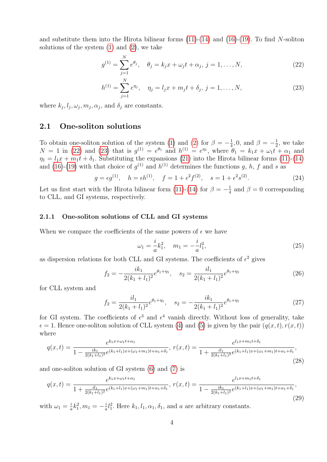and substitute them into the Hirota bilinear forms  $(11)-(14)$  $(11)-(14)$  $(11)-(14)$  and  $(16)-(19)$  $(16)-(19)$  $(16)-(19)$ . To find N-soliton solutions of the system  $(1)$  and  $(2)$ , we take

<span id="page-3-0"></span>
$$
g^{(1)} = \sum_{j=1}^{N} e^{\theta_j}, \quad \theta_j = k_j x + \omega_j t + \alpha_j, \ j = 1, ..., N,
$$
 (22)

<span id="page-3-1"></span>
$$
h^{(1)} = \sum_{j=1}^{N} e^{\eta_j}, \quad \eta_j = l_j x + m_j t + \delta_j, \ j = 1, \dots, N,
$$
\n(23)

where  $k_j, l_j, \omega_j, m_j, \alpha_j$ , and  $\delta_j$  are constants.

### 2.1 One-soliton solutions

To obtain one-soliton solution of the system [\(1\)](#page-0-0) and [\(2\)](#page-0-1) for  $\beta = -\frac{1}{4}$  $\frac{1}{4}$ , 0, and  $\beta = -\frac{1}{2}$  $\frac{1}{2}$ , we take  $N = 1$  in [\(22\)](#page-3-0) and [\(23\)](#page-3-1) that is  $g^{(1)} = e^{\theta_1}$  and  $h^{(1)} = e^{\eta_1}$ , where  $\theta_1 = k_1x + \omega_1t + \alpha_1$  and  $\eta_1 = l_1 x + m_1 t + \delta_1$ . Substituting the expansions [\(21\)](#page-2-4) into the Hirota bilinear forms [\(11\)](#page-2-0)-[\(14\)](#page-2-1) and [\(16\)](#page-2-2)-[\(19\)](#page-2-3) with that choice of  $g^{(1)}$  and  $h^{(1)}$  determines the functions g, h, f and s as

$$
g = \epsilon g^{(1)}, \quad h = \epsilon h^{(1)}, \quad f = 1 + \epsilon^2 f^{(2)}, \quad s = 1 + \epsilon^2 s^{(2)}.
$$
 (24)

Let us first start with the Hirota bilinear form [\(11\)](#page-2-0)-[\(14\)](#page-2-1) for  $\beta = -\frac{1}{4}$  $\frac{1}{4}$  and  $\beta = 0$  corresponding to CLL, and GI systems, respectively.

#### 2.1.1 One-soliton solutions of CLL and GI systems

When we compare the coefficients of the same powers of  $\epsilon$  we have

$$
\omega_1 = -\frac{i}{a}k_1^2, \quad m_1 = -\frac{i}{a}l_1^2,\tag{25}
$$

as dispersion relations for both CLL and GI systems. The coefficients of  $\epsilon^2$  gives

$$
f_2 = -\frac{ik_1}{2(k_1 + l_1)^2} e^{\theta_1 + \eta_1}, \quad s_2 = \frac{il_1}{2(k_1 + l_1)^2} e^{\theta_1 + \eta_1}
$$
(26)

for CLL system and

$$
f_2 = \frac{i l_1}{2(k_1 + l_1)^2} e^{\theta_1 + \eta_1}, \quad s_2 = -\frac{i k_1}{2(k_1 + l_1)^2} e^{\theta_1 + \eta_1}
$$
(27)

for GI system. The coefficients of  $\epsilon^3$  and  $\epsilon^4$  vanish directly. Without loss of generality, take  $\epsilon = 1$ . Hence one-soliton solution of CLL system [\(4\)](#page-1-0) and [\(5\)](#page-1-1) is given by the pair  $(q(x, t), r(x, t))$ where

<span id="page-3-2"></span>
$$
q(x,t) = \frac{e^{k_1 x + \omega_1 t + \alpha_1}}{1 - \frac{ik_1}{2(k_1 + l_1)^2} e^{(k_1 + l_1)x + (\omega_1 + m_1)t + \alpha_1 + \delta_1}}, \quad r(x,t) = \frac{e^{l_1 x + m_1 t + \delta_1}}{1 + \frac{il_1}{2(k_1 + l_1)^2} e^{(k_1 + l_1)x + (\omega_1 + m_1)t + \alpha_1 + \delta_1}},
$$
\n(28)

and one-soliton solution of GI system [\(6\)](#page-1-2) and [\(7\)](#page-1-3) is

<span id="page-3-3"></span>
$$
q(x,t) = \frac{e^{k_1 x + \omega_1 t + \alpha_1}}{1 + \frac{i l_1}{2(k_1 + l_1)^2} e^{(k_1 + l_1)x + (\omega_1 + m_1)t + \alpha_1 + \delta_1}}, \quad r(x,t) = \frac{e^{l_1 x + m_1 t + \delta_1}}{1 - \frac{i k_1}{2(k_1 + l_1)^2} e^{(k_1 + l_1)x + (\omega_1 + m_1)t + \alpha_1 + \delta_1}},
$$
\n(29)

with  $\omega_1 = \frac{i}{a}$  $\frac{i}{a}k_1^2, m_1 = -\frac{i}{a}$  $\frac{i}{a}l_1^2$ . Here  $k_1, l_1, \alpha_1, \delta_1$ , and a are arbitrary constants.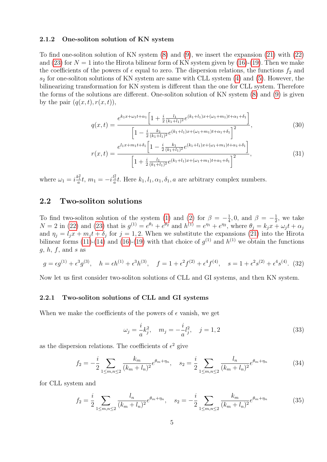#### 2.1.2 One-soliton solution of KN system

To find one-soliton solution of KN system [\(8\)](#page-1-4) and [\(9\)](#page-1-5), we insert the expansion [\(21\)](#page-2-4) with [\(22\)](#page-3-0) and [\(23\)](#page-3-1) for  $N = 1$  into the Hirota bilinear form of KN system given by [\(16\)](#page-2-2)-[\(19\)](#page-2-3). Then we make the coefficients of the powers of  $\epsilon$  equal to zero. The dispersion relations, the functions  $f_2$  and  $s_2$  for one-soliton solutions of KN system are same with CLL system  $(4)$  and  $(5)$ . However, the bilinearizing transformation for KN system is different than the one for CLL system. Therefore the forms of the solutions are different. One-soliton solution of KN system [\(8\)](#page-1-4) and [\(9\)](#page-1-5) is given by the pair  $(q(x,t), r(x,t)),$ 

$$
q(x,t) = \frac{e^{k_1x + \omega_1t + \alpha_1} \left[1 + \frac{i}{2} \frac{l_1}{(k_1 + l_1)^2} e^{(k_1 + l_1)x + (\omega_1 + m_1)t + \alpha_1 + \delta_1}\right]}{\left[1 - \frac{i}{2} \frac{k_1}{(k_1 + l_1)^2} e^{(k_1 + l_1)x + (\omega_1 + m_1)t + \alpha_1 + \delta_1}\right]^2},\tag{30}
$$

$$
r(x,t) = \frac{e^{l_1x + m_1t + \delta_1} \left[1 - \frac{i}{2} \frac{k_1}{(k_1 + l_1)^2} e^{(k_1 + l_1)x + (\omega_1 + m_1)t + \alpha_1 + \delta_1}\right]}{\left[1 + \frac{i}{2} \frac{l_1}{(k_1 + l_1)^2} e^{(k_1 + l_1)x + (\omega_1 + m_1)t + \alpha_1 + \delta_1}\right]^2},\tag{31}
$$

where  $\omega_1 = i \frac{k_1^2}{a} t$ ,  $m_1 = -i \frac{l_1^2}{a} t$ . Here  $k_1, l_1, \alpha_1, \delta_1, a$  are arbitrary complex numbers.

## 2.2 Two-soliton solutions

To find two-soliton solution of the system [\(1\)](#page-0-0) and [\(2\)](#page-0-1) for  $\beta = -\frac{1}{4}$  $\frac{1}{4}$ , 0, and  $\beta = -\frac{1}{2}$  $\frac{1}{2}$ , we take  $N = 2$  in [\(22\)](#page-3-0) and [\(23\)](#page-3-1) that is  $g^{(1)} = e^{\theta_1} + e^{\theta_2}$  and  $h^{(1)} = e^{\eta_1} + e^{\eta_2}$ , where  $\theta_j = k_j x + \omega_j t + \alpha_j$ and  $\eta_j = l_j x + m_j t + \delta_j$  for  $j = 1, 2$ . When we substitute the expansions [\(21\)](#page-2-4) into the Hirota bilinear forms [\(11\)](#page-2-0)-[\(14\)](#page-2-1) and [\(16\)](#page-2-2)-[\(19\)](#page-2-3) with that choice of  $g^{(1)}$  and  $h^{(1)}$  we obtain the functions  $q, h, f, \text{ and } s \text{ as}$ 

<span id="page-4-0"></span>
$$
g = \epsilon g^{(1)} + \epsilon^3 g^{(3)}, \quad h = \epsilon h^{(1)} + \epsilon^3 h^{(3)}, \quad f = 1 + \epsilon^2 f^{(2)} + \epsilon^4 f^{(4)}, \quad s = 1 + \epsilon^2 s^{(2)} + \epsilon^4 s^{(4)}.
$$
 (32)

Now let us first consider two-soliton solutions of CLL and GI systems, and then KN system.

### 2.2.1 Two-soliton solutions of CLL and GI systems

When we make the coefficients of the powers of  $\epsilon$  vanish, we get

$$
\omega_j = \frac{i}{a} k_j^2, \quad m_j = -\frac{i}{a} l_j^2, \quad j = 1, 2
$$
\n(33)

as the dispersion relations. The coefficients of  $\epsilon^2$  give

$$
f_2 = -\frac{i}{2} \sum_{1 \le m,n \le 2} \frac{k_m}{(k_m + l_n)^2} e^{\theta_m + \eta_n}, \quad s_2 = \frac{i}{2} \sum_{1 \le m,n \le 2} \frac{l_n}{(k_m + l_n)^2} e^{\theta_m + \eta_n}
$$
(34)

for CLL system and

$$
f_2 = \frac{i}{2} \sum_{1 \le m,n \le 2} \frac{l_n}{(k_m + l_n)^2} e^{\theta_m + \eta_n}, \quad s_2 = -\frac{i}{2} \sum_{1 \le m,n \le 2} \frac{k_m}{(k_m + l_n)^2} e^{\theta_m + \eta_n}
$$
(35)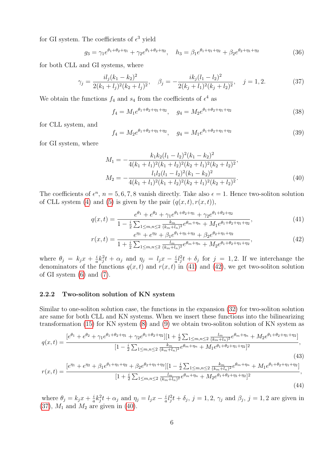for GI system. The coefficients of  $\epsilon^3$  yield

$$
g_3 = \gamma_1 e^{\theta_1 + \theta_2 + \eta_1} + \gamma_2 e^{\theta_1 + \theta_2 + \eta_2}, \quad h_3 = \beta_1 e^{\theta_1 + \eta_1 + \eta_2} + \beta_2 e^{\theta_2 + \eta_1 + \eta_2}
$$
(36)

for both CLL and GI systems, where

<span id="page-5-2"></span>
$$
\gamma_j = \frac{i l_j (k_1 - k_2)^2}{2(k_1 + l_j)^2 (k_2 + l_j)^2}, \quad \beta_j = -\frac{i k_j (l_1 - l_2)^2}{2(k_j + l_1)^2 (k_j + l_2)^2}, \quad j = 1, 2. \tag{37}
$$

We obtain the functions  $f_4$  and  $s_4$  from the coefficients of  $\epsilon^4$  as

$$
f_4 = M_1 e^{\theta_1 + \theta_2 + \eta_1 + \eta_2}, \quad g_4 = M_2 e^{\theta_1 + \theta_2 + \eta_1 + \eta_2}
$$
\n(38)

for CLL system, and

<span id="page-5-3"></span>
$$
f_4 = M_2 e^{\theta_1 + \theta_2 + \eta_1 + \eta_2}, \quad g_4 = M_1 e^{\theta_1 + \theta_2 + \eta_1 + \eta_2}
$$
\n(39)

for GI system, where

$$
M_1 = -\frac{k_1 k_2 (l_1 - l_2)^2 (k_1 - k_2)^2}{4(k_1 + l_1)^2 (k_1 + l_2)^2 (k_2 + l_1)^2 (k_2 + l_2)^2},
$$
  
\n
$$
M_2 = -\frac{l_1 l_2 (l_1 - l_2)^2 (k_1 - k_2)^2}{4(k_1 + l_1)^2 (k_1 + l_2)^2 (k_2 + l_1)^2 (k_2 + l_2)^2}.
$$
\n(40)

The coefficients of  $\epsilon^n$ ,  $n = 5, 6, 7, 8$  vanish directly. Take also  $\epsilon = 1$ . Hence two-soliton solution of CLL system [\(4\)](#page-1-0) and [\(5\)](#page-1-1) is given by the pair  $(q(x, t), r(x, t)),$ 

$$
q(x,t) = \frac{e^{\theta_1} + e^{\theta_2} + \gamma_1 e^{\theta_1 + \theta_2 + \eta_1} + \gamma_2 e^{\theta_1 + \theta_2 + \eta_2}}{1 - \frac{i}{2} \sum_{1 \le m,n \le 2} \frac{k_m}{(k_m + l_n)^2} e^{\theta_m + \eta_n} + M_1 e^{\theta_1 + \theta_2 + \eta_1 + \eta_2}},
$$
\n(41)

$$
r(x,t) = \frac{e^{\eta_1} + e^{\eta_2} + \beta_1 e^{\theta_1 + \eta_1 + \eta_2} + \beta_2 e^{\theta_2 + \eta_1 + \eta_2}}{1 + \frac{i}{2} \sum_{1 \le m,n \le 2} \frac{l_m}{(k_m + l_n)^2} e^{\theta_m + \eta_n} + M_2 e^{\theta_1 + \theta_2 + \eta_1 + \eta_2}},\tag{42}
$$

<span id="page-5-1"></span><span id="page-5-0"></span>(44)

where  $\theta_j = k_j x + \frac{i}{q}$  $\frac{i}{a}k_j^2t + \alpha_j$  and  $\eta_j = l_jx - \frac{i}{a}$  $\frac{i}{a}l_j^2t + \delta_j$  for  $j = 1, 2$ . If we interchange the denominators of the functions  $q(x, t)$  and  $r(x, t)$  in [\(41\)](#page-5-0) and [\(42\)](#page-5-1), we get two-soliton solution of GI system [\(6\)](#page-1-2) and [\(7\)](#page-1-3).

#### 2.2.2 Two-soliton solution of KN system

Similar to one-soliton solution case, the functions in the expansion [\(32\)](#page-4-0) for two-soliton solution are same for both CLL and KN systems. When we insert these functions into the bilinearizing transformation [\(15\)](#page-2-5) for KN system [\(8\)](#page-1-4) and [\(9\)](#page-1-5) we obtain two-soliton solution of KN system as

$$
q(x,t) = \frac{[e^{\theta_1} + e^{\theta_2} + \gamma_1 e^{\theta_1 + \theta_2 + \eta_1} + \gamma_2 e^{\theta_1 + \theta_2 + \eta_2}][1 + \frac{i}{2} \sum_{1 \le m,n \le 2} \frac{l_m}{(k_m + l_n)^2} e^{\theta_m + \eta_n} + M_2 e^{\theta_1 + \theta_2 + \eta_1 + \eta_2}]}{[1 - \frac{i}{2} \sum_{1 \le m,n \le 2} \frac{k_m}{(k_m + l_n)^2} e^{\theta_m + \eta_n} + M_1 e^{\theta_1 + \theta_2 + \eta_1 + \eta_2}]^2},
$$
\n
$$
r(x,t) = \frac{[e^{\eta_1} + e^{\eta_2} + \beta_1 e^{\theta_1 + \eta_1 + \eta_2} + \beta_2 e^{\theta_2 + \eta_1 + \eta_2}][1 - \frac{i}{2} \sum_{1 \le m,n \le 2} \frac{k_m}{(k_m + l_n)^2} e^{\theta_m + \eta_n} + M_1 e^{\theta_1 + \theta_2 + \eta_1 + \eta_2}],
$$
\n
$$
[1 + \frac{i}{2} \sum_{1 \le m,n \le 2} \frac{l_m}{(k_m + l_n)^2} e^{\theta_m + \eta_n} + M_2 e^{\theta_1 + \theta_2 + \eta_1 + \eta_2}]^2},
$$
\n
$$
(43)
$$

where  $\theta_j = k_j x + \frac{i}{a}$  $\frac{i}{a}k_j^2t + \alpha_j$  and  $\eta_j = l_jx - \frac{i}{a}$  $\frac{i}{a}l_j^2t + \delta_j$ ,  $j = 1, 2, \gamma_j$  and  $\beta_j$ ,  $j = 1, 2$  are given in  $(37)$ ,  $M_1$  and  $M_2$  are given in  $(40)$ .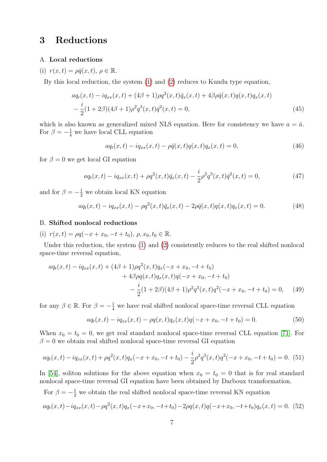# 3 Reductions

#### A. Local reductions

(i)  $r(x, t) = \rho \bar{q}(x, t), \ \rho \in \mathbb{R}$ .

By this local reduction, the system [\(1\)](#page-0-0) and [\(2\)](#page-0-1) reduces to Kundu type equation,

$$
aq_t(x,t) - iq_{xx}(x,t) + (4\beta + 1)\rho q^2(x,t)\bar{q}_x(x,t) + 4\beta \rho \bar{q}(x,t)q(x,t)q_x(x,t) - \frac{i}{2}(1+2\beta)(4\beta+1)\rho^2 q^3(x,t)\bar{q}^2(x,t) = 0,
$$
\n(45)

which is also known as generalized mixed NLS equation. Here for consistency we have  $a = \bar{a}$ . For  $\beta = -\frac{1}{4}$  we have local CLL equation

<span id="page-6-0"></span>
$$
aq_t(x,t) - iq_{xx}(x,t) - \rho \bar{q}(x,t)q(x,t)q_x(x,t) = 0,
$$
\n(46)

for  $\beta = 0$  we get local GI equation

<span id="page-6-1"></span>
$$
aq_t(x,t) - iq_{xx}(x,t) + \rho q^2(x,t)\bar{q}_x(x,t) - \frac{i}{2}\rho^2 q^3(x,t)\bar{q}^2(x,t) = 0,
$$
\n(47)

and for  $\beta = -\frac{1}{2}$  we obtain local KN equation

<span id="page-6-2"></span>
$$
aq_t(x,t) - iq_{xx}(x,t) - \rho q^2(x,t)\bar{q}_x(x,t) - 2\rho \bar{q}(x,t)q(x,t)q_x(x,t) = 0.
$$
\n(48)

### B. Shifted nonlocal reductions

(i)  $r(x, t) = \rho q(-x + x_0, -t + t_0), \rho, x_0, t_0 \in \mathbb{R}$ .

Under this reduction, the system [\(1\)](#page-0-0) and [\(2\)](#page-0-1) consistently reduces to the real shifted nonlocal space-time reversal equation,

$$
aq_t(x,t) - iq_{xx}(x,t) + (4\beta + 1)\rho q^2(x,t)q_x(-x+x_0, -t+t_0) + 4\beta \rho q(x,t)q_x(x,t)q(-x+x_0, -t+t_0) -\frac{i}{2}(1+2\beta)(4\beta+1)\rho^2 q^3(x,t)q^2(-x+x_0, -t+t_0) = 0,
$$
(49)

for any  $\beta \in \mathbb{R}$ . For  $\beta = -\frac{1}{4}$  we have real shifted nonlocal space-time reversal CLL equation

<span id="page-6-3"></span>
$$
aq_t(x,t) - iq_{xx}(x,t) - \rho q(x,t)q_x(x,t)q(-x+x_0, -t+t_0) = 0.
$$
\n(50)

When  $x_0 = t_0 = 0$ , we get real standard nonlocal space-time reversal CLL equation [\[71\]](#page-24-6). For  $\beta = 0$  we obtain real shifted nonlocal space-time reversal GI equation

<span id="page-6-4"></span>
$$
aq_t(x,t) - iq_{xx}(x,t) + \rho q^2(x,t)q_x(-x+x_0, -t+t_0) - \frac{i}{2}\rho^2 q^3(x,t)q^2(-x+x_0, -t+t_0) = 0.
$$
 (51)

In [\[54\]](#page-23-3), soliton solutions for the above equation when  $x_0 = t_0 = 0$  that is for real standard nonlocal space-time reversal GI equation have been obtained by Darboux transformation.

For  $\beta = -\frac{1}{2}$  we obtain the real shifted nonlocal space-time reversal KN equation

<span id="page-6-5"></span>
$$
aq_t(x,t) - iq_{xx}(x,t) - \rho q^2(x,t)q_x(-x+x_0, -t+t_0) - 2\rho q(x,t)q(-x+x_0, -t+t_0)q_x(x,t) = 0.
$$
 (52)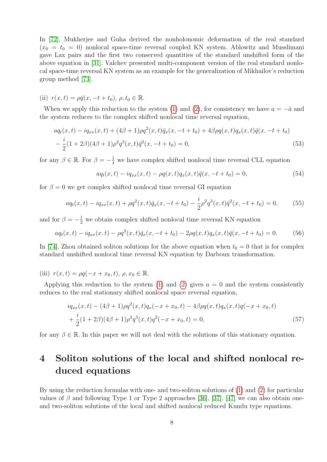In [\[72\]](#page-24-7), Mukherjee and Guha derived the nonholonomic deformation of the real standard  $(x_0 = t_0 = 0)$  nonlocal space-time reversal coupled KN system. Ablowitz and Musslimani gave Lax pairs and the first two conserved quantities of the standard unshifted form of the above equation in [\[31\]](#page-22-2). Valchev presented multi-component version of the real standard nonlocal space-time reversal KN system as an example for the generalization of Mikhailov's reduction group method [\[73\]](#page-24-8).

(ii) 
$$
r(x,t) = \rho \bar{q}(x, -t + t_0), \rho, t_0 \in \mathbb{R}
$$
.

When we apply this reduction to the system [\(1\)](#page-0-0) and [\(2\)](#page-0-1), for consistency we have  $a = -\bar{a}$  and the system reduces to the complex shifted nonlocal time reversal equation,

$$
aq_t(x,t) - iq_{xx}(x,t) + (4\beta + 1)\rho q^2(x,t)\bar{q}_x(x, -t + t_0) + 4\beta \rho q(x,t)q_x(x,t)\bar{q}(x, -t + t_0) - \frac{i}{2}(1+2\beta)(4\beta+1)\rho^2 q^3(x,t)\bar{q}^2(x, -t + t_0) = 0,
$$
\n(53)

for any  $\beta \in \mathbb{R}$ . For  $\beta = -\frac{1}{4}$  we have complex shifted nonlocal time reversal CLL equation

<span id="page-7-0"></span>
$$
aq_t(x,t) - iq_{xx}(x,t) - \rho q(x,t)q_x(x,t)\overline{q}(x,-t+t_0) = 0,
$$
\n(54)

for  $\beta = 0$  we get complex shifted nonlocal time reversal GI equation

<span id="page-7-1"></span>
$$
aq_t(x,t) - iq_{xx}(x,t) + \rho q^2(x,t)\bar{q}_x(x, -t+t_0) - \frac{i}{2}\rho^2 q^3(x,t)\bar{q}^2(x, -t+t_0) = 0,\tag{55}
$$

and for  $\beta = -\frac{1}{2}$  we obtain complex shifted nonlocal time reversal KN equation

<span id="page-7-2"></span>
$$
aq_t(x,t) - iq_{xx}(x,t) - \rho q^2(x,t)\bar{q}_x(x, -t+t_0) - 2\rho q(x,t)q_x(x,t)\bar{q}(x, -t+t_0) = 0.
$$
 (56)

In [\[74\]](#page-24-9), Zhou obtained soliton solutions for the above equation when  $t_0 = 0$  that is for complex standard unshifted nonlocal time reversal KN equation by Darboux transformation.

(iii)  $r(x, t) = \rho q(-x + x_0, t), \, \rho, x_0 \in \mathbb{R}$ .

Applying this reduction to the system [\(1\)](#page-0-0) and [\(2\)](#page-0-1) gives  $a = 0$  and the system consistently reduces to the real stationary shifted nonlocal space reversal equation,

$$
iq_{xx}(x,t) - (4\beta + 1)\rho q^2(x,t)q_x(-x+x_0,t) - 4\beta \rho q(x,t)q_x(x,t)q(-x+x_0,t) + \frac{i}{2}(1+2\beta)(4\beta+1)\rho^2 q^3(x,t)q^2(-x+x_0,t) = 0,
$$
\n(57)

for any  $\beta \in \mathbb{R}$ . In this paper we will not deal with the solutions of this stationary equation.

# 4 Soliton solutions of the local and shifted nonlocal reduced equations

By using the reduction formulas with one- and two-soliton solutions of [\(1\)](#page-0-0) and [\(2\)](#page-0-1) for particular values of  $\beta$  and following Type 1 or Type 2 approaches [\[36\]](#page-22-7), [\[37\]](#page-22-6), [\[47\]](#page-23-1) we can also obtain oneand two-soliton solutions of the local and shifted nonlocal reduced Kundu type equations.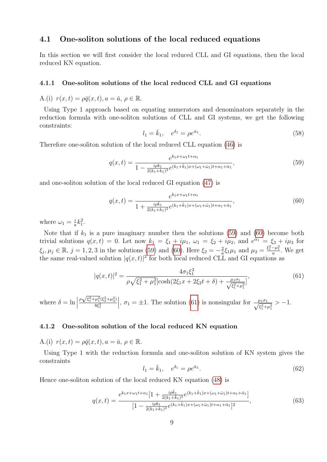### 4.1 One-soliton solutions of the local reduced equations

In this section we will first consider the local reduced CLL and GI equations, then the local reduced KN equation.

#### 4.1.1 One-soliton solutions of the local reduced CLL and GI equations

A.(i)  $r(x,t) = \rho \bar{q}(x,t), a = \bar{a}, \rho \in \mathbb{R}$ .

Using Type 1 approach based on equating numerators and denominators separately in the reduction formula with one-soliton solutions of CLL and GI systems, we get the following constraints:

$$
l_1 = \bar{k}_1, \quad e^{\delta_1} = \rho e^{\bar{\alpha}_1}.
$$
\n(58)

Therefore one-soliton solution of the local reduced CLL equation [\(46\)](#page-6-0) is

<span id="page-8-0"></span>
$$
q(x,t) = \frac{e^{k_1 x + \omega_1 t + \alpha_1}}{1 - \frac{i\rho k_1}{2(k_1 + \bar{k}_1)^2} e^{(k_1 + \bar{k}_1)x + (\omega_1 + \bar{\omega}_1)t + \alpha_1 + \bar{\alpha}_1}},\tag{59}
$$

and one-soliton solution of the local reduced GI equation [\(47\)](#page-6-1) is

<span id="page-8-1"></span>
$$
q(x,t) = \frac{e^{k_1 x + \omega_1 t + \alpha_1}}{1 + \frac{i\rho \bar{k}_1}{2(k_1 + \bar{k}_1)^2} e^{(k_1 + \bar{k}_1)x + (\omega_1 + \bar{\omega}_1)t + \alpha_1 + \bar{\alpha}_1}},\tag{60}
$$

where  $\omega_1 = \frac{i}{a}$  $\frac{i}{a}k_1^2$ .

Note that if  $k_1$  is a pure imaginary number then the solutions [\(59\)](#page-8-0) and [\(60\)](#page-8-1) become both trivial solutions  $q(x,t) = 0$ . Let now  $k_1 = \xi_1 + i\mu_1$ ,  $\omega_1 = \xi_2 + i\mu_2$ , and  $e^{\alpha_1} = \xi_3 + i\mu_3$  for  $\xi_j, \mu_j \in \mathbb{R}, j = 1, 2, 3$  in the solutions [\(59\)](#page-8-0) and [\(60\)](#page-8-1). Here  $\xi_2 = -\frac{2}{a}$  $\frac{2}{a}\xi_1\mu_1$  and  $\mu_2 = \frac{\xi_1^2 - \mu_1^2}{a}$ . We get the same real-valued solution  $|q(x,t)|^2$  for both local reduced CLL and GI equations as

<span id="page-8-2"></span>
$$
|q(x,t)|^2 = \frac{4\sigma_1 \xi_1^2}{\rho \sqrt{\xi_1^2 + \mu_1^2} [\cosh(2\xi_1 x + 2\xi_2 t + \delta) + \frac{\mu_1 \sigma_1}{\sqrt{\xi_1^2 + \mu_1^2}}]},
$$
(61)

where  $\delta = \ln \left| \frac{\delta}{\delta} \right|$  $\rho \sqrt{\xi_1^2 + \mu_1^2} (\xi_3^2 + \mu_3^2)$  $8\xi_1^2$  $\Big|, \sigma_1 = \pm 1.$  The solution [\(61\)](#page-8-2) is nonsingular for  $\frac{\mu_1 \sigma_1}{\sqrt{\xi_1^2 + 1}}$  $\frac{\mu_1 \sigma_1}{\xi_1^2 + \mu_1^2} > -1.$ 

#### 4.1.2 One-soliton solution of the local reduced KN equation

A.(i)  $r(x,t) = \rho \bar{q}(x,t)$ ,  $a = \bar{a}$ ,  $\rho \in \mathbb{R}$ .

Using Type 1 with the reduction formula and one-soliton solution of KN system gives the constraints

$$
l_1 = \bar{k}_1, \quad e^{\delta_1} = \rho e^{\bar{\alpha}_1}.
$$
\n(62)

Hence one-soliton solution of the local reduced KN equation [\(48\)](#page-6-2) is

<span id="page-8-3"></span>
$$
q(x,t) = \frac{e^{k_1 x + \omega_1 t + \alpha_1} [1 + \frac{i \rho \bar{k}_1}{2(k_1 + \bar{k}_1)^2} e^{(k_1 + \bar{k}_1)x + (\omega_1 + \bar{\omega}_1)t + \alpha_1 + \bar{\alpha}_1}]}{[1 - \frac{i \rho k_1}{2(k_1 + \bar{k}_1)^2} e^{(k_1 + \bar{k}_1)x + (\omega_1 + \bar{\omega}_1)t + \alpha_1 + \bar{\alpha}_1}]^2},
$$
(63)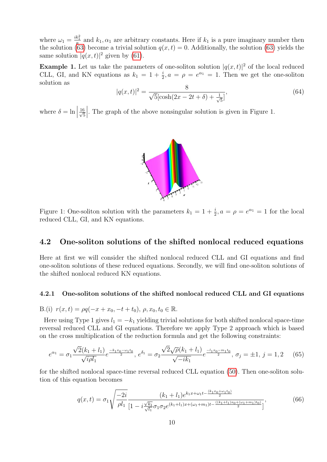where  $\omega_1 = \frac{ik_1^2}{a}$  and  $k_1, \alpha_1$  are arbitrary constants. Here if  $k_1$  is a pure imaginary number then the solution [\(63\)](#page-8-3) become a trivial solution  $q(x,t) = 0$ . Additionally, the solution (63) yields the same solution  $|q(x,t)|^2$  given by [\(61\)](#page-8-2).

**Example 1.** Let us take the parameters of one-soliton solution  $|q(x,t)|^2$  of the local reduced CLL, GI, and KN equations as  $k_1 = 1 + \frac{i}{2}$ ,  $a = \rho = e^{\alpha_1} = 1$ . Then we get the one-soliton solution as

$$
|q(x,t)|^2 = \frac{8}{\sqrt{5}[\cosh(2x - 2t + \delta) + \frac{1}{\sqrt{5}}]},
$$
\n(64)

where  $\delta = \ln \left| \frac{16}{\sqrt{\xi}} \right|$ 5   . The graph of the above nonsingular solution is given in Figure 1.



Figure 1: One-soliton solution with the parameters  $k_1 = 1 + \frac{i}{2}$ ,  $a = \rho = e^{\alpha_1} = 1$  for the local reduced CLL, GI, and KN equations.

### 4.2 One-soliton solutions of the shifted nonlocal reduced equations

Here at first we will consider the shifted nonlocal reduced CLL and GI equations and find one-soliton solutions of these reduced equations. Secondly, we will find one-soliton solutions of the shifted nonlocal reduced KN equations.

#### 4.2.1 One-soliton solutions of the shifted nonlocal reduced CLL and GI equations

B.(i) 
$$
r(x,t) = \rho q(-x + x_0, -t + t_0), \rho, x_0, t_0 \in \mathbb{R}
$$
.

Here using Type 1 gives  $l_1 = -k_1$  yielding trivial solutions for both shifted nonlocal space-time reversal reduced CLL and GI equations. Therefore we apply Type 2 approach which is based on the cross multiplication of the reduction formula and get the following constraints:

$$
e^{\alpha_1} = \sigma_1 \frac{\sqrt{2}(k_1 + l_1)}{\sqrt{i \rho l_1}} e^{\frac{-k_1 x_0 - \omega_1 t_0}{2}}, \ e^{\delta_1} = \sigma_2 \frac{\sqrt{2} \sqrt{\rho} (k_1 + l_1)}{\sqrt{-i k_1}} e^{\frac{-l_1 x_0 - m_1 t_0}{2}}, \ \sigma_j = \pm 1, \ j = 1, 2 \tag{65}
$$

for the shifted nonlocal space-time reversal reduced CLL equation [\(50\)](#page-6-3). Then one-soliton solution of this equation becomes

<span id="page-9-0"></span>
$$
q(x,t) = \sigma_1 \sqrt{\frac{-2i}{\rho l_1}} \frac{(k_1 + l_1)e^{k_1 x + \omega_1 t - \frac{(k_1 x_0 + \omega_1 t_0)}{2}}}{[1 - i\frac{\sqrt{k_1}}{\sqrt{l_1}} \sigma_1 \sigma_2 e^{(k_1 + l_1)x + (\omega_1 + m_1)t - \frac{((k_1 + l_1)x_0 + (\omega_1 + m_1)t_0)}{2}}]},
$$
(66)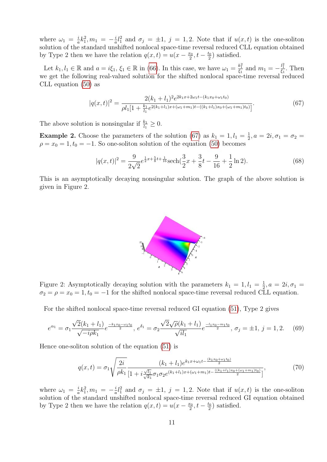where  $\omega_1 = \frac{i}{a}$  $\frac{i}{a}k_1^2, m_1 = -\frac{i}{a}$  $\frac{i}{a}l_1^2$  and  $\sigma_j = \pm 1$ ,  $j = 1, 2$ . Note that if  $u(x, t)$  is the one-soliton solution of the standard unshifted nonlocal space-time reversal reduced CLL equation obtained by Type 2 then we have the relation  $q(x,t) = u(x - \frac{x_0}{2})$  $\frac{x_0}{2}, t - \frac{t_0}{2}$  $\frac{t_0}{2}$ ) satisfied.

Let  $k_1, l_1 \in \mathbb{R}$  and  $a = i\xi_1, \xi_1 \in \mathbb{R}$  in [\(66\)](#page-9-0). In this case, we have  $\omega_1 = \frac{k_1^2}{\xi_1}$  and  $m_1 = -\frac{l_1^2}{\xi_1}$ . Then we get the following real-valued solution for the shifted nonlocal space-time reversal reduced CLL equation [\(50\)](#page-6-3) as

<span id="page-10-0"></span>
$$
|q(x,t)|^2 = \frac{2(k_1 + l_1)^2 e^{2k_1 x + 2\omega_1 t - (k_1 x_0 + \omega_1 t_0)}}{\rho l_1 [1 + \frac{k_1}{l_1} e^{2(k_1 + l_1)x + (\omega_1 + m_1)t - ((k_1 + l_1)x_0 + (\omega_1 + m_1)t_0)]}}.
$$
(67)

The above solution is nonsingular if  $\frac{k_1}{l_1} \geq 0$ .

**Example 2.** Choose the parameters of the solution [\(67\)](#page-10-0) as  $k_1 = 1, l_1 = \frac{1}{2}$  $\frac{1}{2}$ ,  $a = 2i$ ,  $\sigma_1 = \sigma_2 =$  $\rho = x_0 = 1, t_0 = -1$ . So one-soliton solution of the equation [\(50\)](#page-6-3) becomes

$$
|q(x,t)|^2 = \frac{9}{2\sqrt{2}}e^{\frac{1}{2}x + \frac{5}{8}t + \frac{1}{16}}\mathrm{sech}(\frac{3}{2}x + \frac{3}{8}t - \frac{9}{16} + \frac{1}{2}\ln 2). \tag{68}
$$

This is an asymptotically decaying nonsingular solution. The graph of the above solution is given in Figure 2.



Figure 2: Asymptotically decaying solution with the parameters  $k_1 = 1, l_1 = \frac{1}{2}$  $\frac{1}{2}$ ,  $a = 2i$ ,  $\sigma_1 =$  $\sigma_2 = \rho = x_0 = 1, t_0 = -1$  for the shifted nonlocal space-time reversal reduced CLL equation.

For the shifted nonlocal space-time reversal reduced GI equation [\(51\)](#page-6-4), Type 2 gives

$$
e^{\alpha_1} = \sigma_1 \frac{\sqrt{2}(k_1 + l_1)}{\sqrt{-i\rho k_1}} e^{\frac{-k_1 x_0 - \omega_1 t_0}{2}}, \ e^{\delta_1} = \sigma_2 \frac{\sqrt{2}\sqrt{\rho}(k_1 + l_1)}{\sqrt{i l_1}} e^{\frac{-l_1 x_0 - m_1 t_0}{2}}, \ \sigma_j = \pm 1, \ j = 1, 2. \tag{69}
$$

Hence one-soliton solution of the equation [\(51\)](#page-6-4) is

<span id="page-10-1"></span>
$$
q(x,t) = \sigma_1 \sqrt{\frac{2i}{\rho k_1}} \frac{(k_1 + l_1)e^{k_1x + \omega_1 t - \frac{(k_1x_0 + \omega_1 t_0)}{2}}}{[1 + i\frac{\sqrt{l_1}}{\sqrt{k_1}}\sigma_1\sigma_2 e^{(k_1 + l_1)x + (\omega_1 + m_1)t - \frac{((k_1 + l_1)x_0 + (\omega_1 + m_1)t_0)}{2}}]},
$$
\n
$$
(70)
$$

where  $\omega_1 = \frac{i}{a}$  $\frac{i}{a}k_1^2, m_1 = -\frac{i}{a}$  $\frac{i}{a}l_1^2$  and  $\sigma_j = \pm 1$ ,  $j = 1, 2$ . Note that if  $u(x, t)$  is the one-soliton solution of the standard unshifted nonlocal space-time reversal reduced GI equation obtained by Type 2 then we have the relation  $q(x,t) = u(x - \frac{x_0}{2})$  $\frac{x_0}{2}, t-\frac{t_0}{2}$  $\frac{t_0}{2}$ ) satisfied.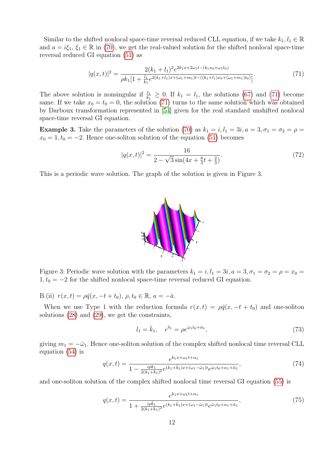Similar to the shifted nonlocal space-time reversal reduced CLL equation, if we take  $k_1, l_1 \in \mathbb{R}$ and  $a = i\xi_1, \xi_1 \in \mathbb{R}$  in [\(70\)](#page-10-1), we get the real-valued solution for the shifted nonlocal space-time reversal reduced GI equation [\(51\)](#page-6-4) as

<span id="page-11-0"></span>
$$
|q(x,t)|^2 = \frac{2(k_1 + l_1)^2 e^{2k_1 x + 2\omega_1 t - (k_1 x_0 + \omega_1 t_0)}}{\rho k_1 [1 + \frac{l_1}{k_1} e^{2(k_1 + l_1)x + (\omega_1 + m_1)t - ((k_1 + l_1)x_0 + (\omega_1 + m_1)t_0)]}}.
$$
(71)

The above solution is nonsingular if  $\frac{l_1}{k_1} \geq 0$ . If  $k_1 = l_1$ , the solutions [\(67\)](#page-10-0) and [\(71\)](#page-11-0) become same. If we take  $x_0 = t_0 = 0$ , the solution [\(71\)](#page-11-0) turns to the same solution which was obtained by Darboux transformation represented in [\[54\]](#page-23-3) given for the real standard unshifted nonlocal space-time reversal GI equation.

**Example 3.** Take the parameters of the solution [\(70\)](#page-10-1) as  $k_1 = i, l_1 = 3i, a = 3, \sigma_1 = \sigma_2 = \rho =$  $x_0 = 1, t_0 = -2$ . Hence one-soliton solution of the equation [\(51\)](#page-6-4) becomes

$$
|q(x,t)|^2 = \frac{16}{2 - \sqrt{3}\sin(4x + \frac{8}{3}t + \frac{2}{3})}.
$$
\n(72)

This is a periodic wave solution. The graph of the solution is given in Figure 3.



Figure 3: Periodic wave solution with the parameters  $k_1 = i, l_1 = 3i, a = 3, \sigma_1 = \sigma_2 = \rho = x_0 = \rho$  $1, t_0 = -2$  for the shifted nonlocal space-time reversal reduced GI equation.

B.(ii)  $r(x,t) = \rho \bar{q}(x, -t + t_0), \ \rho, t_0 \in \mathbb{R}, \ a = -\bar{a}.$ 

When we use Type 1 with the reduction formula  $r(x,t) = \rho \bar{q}(x, -t + t_0)$  and one-soliton solutions [\(28\)](#page-3-2) and [\(29\)](#page-3-3), we get the constraints,

$$
l_1 = \bar{k}_1, \quad e^{\delta_1} = \rho e^{\bar{\omega}_1 t_0 + \bar{\alpha}_1}, \tag{73}
$$

giving  $m_1 = -\bar{\omega}_1$ . Hence one-soliton solution of the complex shifted nonlocal time reversal CLL equation [\(54\)](#page-7-0) is

<span id="page-11-1"></span>
$$
q(x,t) = \frac{e^{k_1 x + \omega_1 t + \alpha_1}}{1 - \frac{i\rho k_1}{2(k_1 + \bar{k}_1)^2} e^{(k_1 + \bar{k}_1)x + (\omega_1 - \bar{\omega}_1)t} e^{\bar{\omega}_1 t_0 + \alpha_1 + \bar{\alpha}_1}},\tag{74}
$$

and one-soliton solution of the complex shifted nonlocal time reversal GI equation [\(55\)](#page-7-1) is

<span id="page-11-2"></span>
$$
q(x,t) = \frac{e^{k_1 x + \omega_1 t + \alpha_1}}{1 + \frac{i\rho \bar{k}_1}{2(k_1 + \bar{k}_1)^2} e^{(k_1 + \bar{k}_1)x + (\omega_1 - \bar{\omega}_1)t} e^{\bar{\omega}_1 t_0 + \alpha_1 + \bar{\alpha}_1}},\tag{75}
$$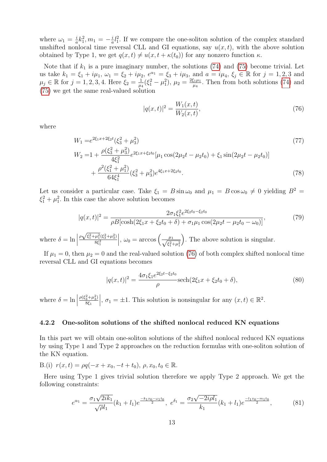where  $\omega_1 = \frac{i}{a}$  $\frac{i}{a}k_1^2, m_1 = -\frac{i}{a}$  $\frac{i}{a}l_1^2$ . If we compare the one-soliton solution of the complex standard unshifted nonlocal time reversal CLL and GI equations, say  $u(x, t)$ , with the above solution obtained by Type 1, we get  $q(x, t) \neq u(x, t + \kappa(t_0))$  for any nonzero function  $\kappa$ .

Note that if  $k_1$  is a pure imaginary number, the solutions [\(74\)](#page-11-1) and [\(75\)](#page-11-2) become trivial. Let us take  $k_1 = \xi_1 + i\mu_1$ ,  $\omega_1 = \xi_2 + i\mu_2$ ,  $e^{\alpha_1} = \xi_3 + i\mu_3$ , and  $a = i\mu_4$ ,  $\xi_j \in \mathbb{R}$  for  $j = 1, 2, 3$  and  $\mu_j \in \mathbb{R}$  for  $j = 1, 2, 3, 4$ . Here  $\xi_2 = \frac{1}{\mu}$  $\frac{1}{\mu_4}(\xi_1^2-\mu_1^2), \mu_2=\frac{2\xi_1\mu_1}{\mu_4}$  $\frac{\xi_1\mu_1}{\mu_4}$ . Then from both solutions [\(74\)](#page-11-1) and [\(75\)](#page-11-2) we get the same real-valued solution

<span id="page-12-0"></span>
$$
|q(x,t)|^2 = \frac{W_1(x,t)}{W_2(x,t)},
$$
\n(76)

where

$$
W_1 = e^{2\xi_1 x + 2\xi_2 t} (\xi_3^2 + \mu_3^2)
$$
\n
$$
W_2 = 1 + \frac{\rho(\xi_3^2 + \mu_3^2)}{4\xi_1^2} e^{2\xi_1 x + \xi_2 t_0} [\mu_1 \cos(2\mu_2 t - \mu_2 t_0) + \xi_1 \sin(2\mu_2 t - \mu_2 t_0)]
$$
\n
$$
+ \frac{\rho^2(\xi_1^2 + \mu_1^2)}{64\xi_1^4} (\xi_3^2 + \mu_3^2) e^{4\xi_1 x + 2\xi_2 t_0}.
$$
\n(78)

Let us consider a particular case. Take  $\xi_1 = B \sin \omega_0$  and  $\mu_1 = B \cos \omega_0 \neq 0$  yielding  $B^2 =$  $\xi_1^2 + \mu_1^2$ . In this case the above solution becomes

$$
|q(x,t)|^2 = \frac{2\sigma_1 \xi_1^2 e^{2\xi_2 t_0 - \xi_2 t_0}}{\rho B[\cosh(2\xi_1 x + \xi_2 t_0 + \delta) + \sigma_1 \mu_1 \cos(2\mu_2 t - \mu_2 t_0 - \omega_0)]},\tag{79}
$$

where  $\delta = \ln \left| \frac{\delta}{\delta} \right|$  $\rho \sqrt{\xi_1^2 + \mu_1^2} (\xi_3^2 + \mu_3^2)$  $8\xi_1^2$  $\Big|, \omega_0 = \arccos\Big(\frac{\mu_1}{\sqrt{\xi_1^2}}\Big)$  $\xi_1^2 + \mu_1^2$ . The above solution is singular.

If  $\mu_1 = 0$ , then  $\mu_2 = 0$  and the real-valued solution [\(76\)](#page-12-0) of both complex shifted nonlocal time reversal CLL and GI equations becomes

<span id="page-12-1"></span>
$$
|q(x,t)|^2 = \frac{4\sigma_1 \xi_1 e^{2\xi_2 t - \xi_2 t_0}}{\rho} \text{sech}(2\xi_1 x + \xi_2 t_0 + \delta),\tag{80}
$$

where  $\delta = \ln \left| \frac{\delta}{\delta} \right|$  $\rho(\xi_3^2 + \mu_3^2)$  $8\xi_1$  $\Big|, \sigma_1 = \pm 1$ . This solution is nonsingular for any  $(x, t) \in \mathbb{R}^2$ .

#### 4.2.2 One-soliton solutions of the shifted nonlocal reduced KN equations

In this part we will obtain one-soliton solutions of the shifted nonlocal reduced KN equations by using Type 1 and Type 2 approaches on the reduction formulas with one-soliton solution of the KN equation.

B.(i) 
$$
r(x,t) = \rho q(-x + x_0, -t + t_0), \rho, x_0, t_0 \in \mathbb{R}
$$
.

Here using Type 1 gives trivial solution therefore we apply Type 2 approach. We get the following constraints:

$$
e^{\alpha_1} = \frac{\sigma_1 \sqrt{2ik_1}}{\sqrt{\rho}l_1} (k_1 + l_1) e^{\frac{-k_1 x_0 - \omega_1 t_0}{2}}, \ e^{\delta_1} = \frac{\sigma_2 \sqrt{-2i\rho l_1}}{k_1} (k_1 + l_1) e^{\frac{-l_1 x_0 - m_1 t_0}{2}}, \tag{81}
$$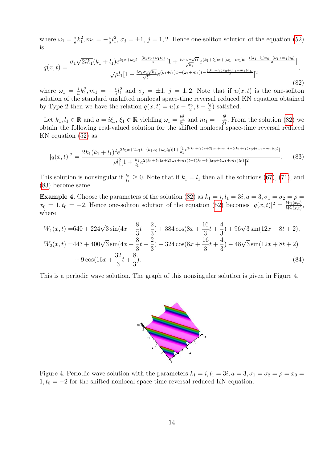where  $\omega_1 = \frac{i}{a}$  $\frac{i}{a}k_1^2, m_1 = -\frac{i}{a}$  $\frac{i}{a}l_1^2$ ,  $\sigma_j = \pm 1$ ,  $j = 1, 2$ . Hence one-soliton solution of the equation [\(52\)](#page-6-5) is

<span id="page-13-0"></span>
$$
q(x,t) = \frac{\sigma_1 \sqrt{2ik_1}(k_1 + l_1)e^{k_1x + \omega_1 t - \frac{(k_1x_0 + \omega_1 t_0)}{2}} \left[1 + \frac{i\sigma_1 \sigma_2 \sqrt{l_1}}{\sqrt{k_1}} e^{(k_1 + l_1)x + (\omega_1 + m_1)t - \frac{((k_1 + l_1)x_0 + (\omega_1 + m_1)t_0)}{2}}\right]}{\sqrt{\rho}l_1 \left[1 - \frac{i\sigma_1 \sigma_2 \sqrt{k_1}}{\sqrt{l_1}} e^{(k_1 + l_1)x + (\omega_1 + m_1)t - \frac{((k_1 + l_1)x_0 + (\omega_1 + m_1)t_0)}{2}}\right]^2},
$$
\n(82)

where  $\omega_1 = \frac{i}{a}$  $\frac{i}{a}k_1^2, m_1 = -\frac{i}{a}$  $\frac{i}{a}l_1^2$  and  $\sigma_j = \pm 1$ ,  $j = 1, 2$ . Note that if  $u(x, t)$  is the one-soliton solution of the standard unshifted nonlocal space-time reversal reduced KN equation obtained by Type 2 then we have the relation  $q(x,t) = u(x - \frac{x_0}{2})$  $\frac{x_0}{2}, t - \frac{t_0}{2}$  $\frac{t_0}{2}$ ) satisfied.

Let  $k_1, l_1 \in \mathbb{R}$  and  $a = i\xi_1, \xi_1 \in \mathbb{R}$  yielding  $\omega_1 = \frac{k_1^2}{\xi_1}$  and  $m_1 = -\frac{l_1^2}{\xi_1}$ . From the solution [\(82\)](#page-13-0) we obtain the following real-valued solution for the shifted nonlocal space-time reversal reduced KN equation [\(52\)](#page-6-5) as

<span id="page-13-1"></span>
$$
|q(x,t)|^2 = \frac{2k_1(k_1+l_1)^2 e^{2k_1x+2\omega_1t-(k_1x_0+\omega_1t_0)[1+\frac{l_1}{k_1}e^{2(k_1+l_1)x+2(\omega_1+m_1)t-((k_1+l_1)x_0+(\omega_1+m_1)t_0)]}}{\rho l_1^2 [1+\frac{k_1}{l_1}e^{2(k_1+l_1)x+2(\omega_1+m_1)t-((k_1+l_1)x_0+(\omega_1+m_1)t_0)]^2}.
$$
 (83)

This solution is nonsingular if  $\frac{k_1}{l_1} \geq 0$ . Note that if  $k_1 = l_1$  then all the solutions [\(67\)](#page-10-0), [\(71\)](#page-11-0), and [\(83\)](#page-13-1) become same.

**Example 4.** Choose the parameters of the solution [\(82\)](#page-13-0) as  $k_1 = i, l_1 = 3i, a = 3, \sigma_1 = \sigma_2 = \rho =$  $x_0 = 1, t_0 = -2.$  Hence one-soliton solution of the equation [\(52\)](#page-6-5) becomes  $|q(x,t)|^2 = \frac{W_1(x,t)}{W_2(x,t)}$  $\frac{W_1(x,t)}{W_2(x,t)},$ where

$$
W_1(x,t) = 640 + 224\sqrt{3}\sin(4x + \frac{8}{3}t + \frac{2}{3}) + 384\cos(8x + \frac{16}{3}t + \frac{4}{3}) + 96\sqrt{3}\sin(12x + 8t + 2),
$$
  
\n
$$
W_2(x,t) = 443 + 400\sqrt{3}\sin(4x + \frac{8}{3}t + \frac{2}{3}) - 324\cos(8x + \frac{16}{3}t + \frac{4}{3}) - 48\sqrt{3}\sin(12x + 8t + 2)
$$
  
\n
$$
+ 9\cos(16x + \frac{32}{3}t + \frac{8}{3}).
$$
\n(84)

This is a periodic wave solution. The graph of this nonsingular solution is given in Figure 4.



Figure 4: Periodic wave solution with the parameters  $k_1 = i, l_1 = 3i, a = 3, \sigma_1 = \sigma_2 = \rho = x_0 =$  $1, t_0 = -2$  for the shifted nonlocal space-time reversal reduced KN equation.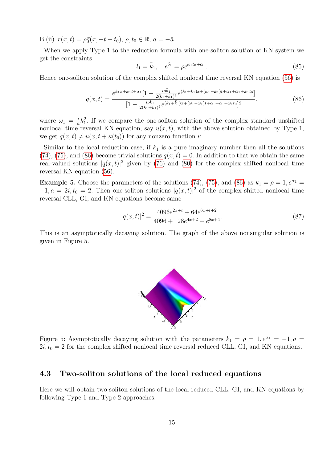B.(ii)  $r(x, t) = \rho \bar{q}(x, -t + t_0), \rho, t_0 \in \mathbb{R}, a = -\bar{a}$ .

When we apply Type 1 to the reduction formula with one-soliton solution of KN system we get the constraints

$$
l_1 = \bar{k}_1, \quad e^{\delta_1} = \rho e^{\bar{\omega}_1 t_0 + \bar{\alpha}_1}.
$$
\n(85)

Hence one-soliton solution of the complex shifted nonlocal time reversal KN equation [\(56\)](#page-7-2) is

<span id="page-14-0"></span>
$$
q(x,t) = \frac{e^{k_1x + \omega_1t + \alpha_1}\left[1 + \frac{i\rho\bar{k}_1}{2(k_1 + \bar{k}_1)^2}e^{(k_1 + \bar{k}_1)x + (\omega_1 - \bar{\omega}_1)t + \alpha_1 + \bar{\alpha}_1 + \bar{\omega}_1t_0}\right]}{\left[1 - \frac{i\rho k_1}{2(k_1 + \bar{k}_1)^2}e^{(k_1 + \bar{k}_1)x + (\omega_1 - \bar{\omega}_1)t + \alpha_1 + \bar{\alpha}_1 + \bar{\omega}_1t_0}\right]^2},
$$
\n(86)

where  $\omega_1 = \frac{i}{a}$  $\frac{i}{a}k_1^2$ . If we compare the one-soliton solution of the complex standard unshifted nonlocal time reversal KN equation, say  $u(x, t)$ , with the above solution obtained by Type 1, we get  $q(x, t) \neq u(x, t + \kappa(t_0))$  for any nonzero function  $\kappa$ .

Similar to the local reduction case, if  $k_1$  is a pure imaginary number then all the solutions  $(74)$ ,  $(75)$ , and  $(86)$  become trivial solutions  $q(x,t) = 0$ . In addition to that we obtain the same real-valued solutions  $|q(x,t)|^2$  given by [\(76\)](#page-12-0) and [\(80\)](#page-12-1) for the complex shifted nonlocal time reversal KN equation [\(56\)](#page-7-2).

**Example 5.** Choose the parameters of the solutions [\(74\)](#page-11-1), [\(75\)](#page-11-2), and [\(86\)](#page-14-0) as  $k_1 = \rho = 1, e^{\alpha_1} =$  $-1, a = 2i, t_0 = 2$ . Then one-soliton solutions  $|q(x, t)|^2$  of the complex shifted nonlocal time reversal CLL, GI, and KN equations become same

$$
|q(x,t)|^2 = \frac{4096e^{2x+t} + 64e^{6x+t+2}}{4096 + 128e^{4x+2} + e^{8x+4}}.\tag{87}
$$

This is an asymptotically decaying solution. The graph of the above nonsingular solution is given in Figure 5.



Figure 5: Asymptotically decaying solution with the parameters  $k_1 = \rho = 1, e^{\alpha_1} = -1, a =$  $2i, t_0 = 2$  for the complex shifted nonlocal time reversal reduced CLL, GI, and KN equations.

### 4.3 Two-soliton solutions of the local reduced equations

Here we will obtain two-soliton solutions of the local reduced CLL, GI, and KN equations by following Type 1 and Type 2 approaches.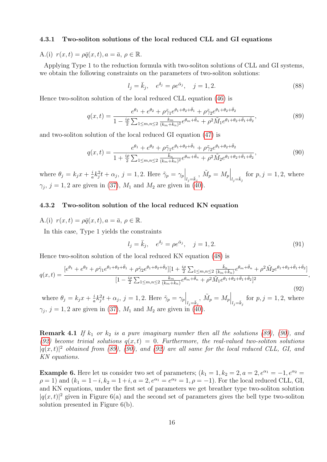#### 4.3.1 Two-soliton solutions of the local reduced CLL and GI equations

A.(i)  $r(x,t) = \rho \bar{q}(x,t), a = \bar{a}, \rho \in \mathbb{R}$ .

Applying Type 1 to the reduction formula with two-soliton solutions of CLL and GI systems, we obtain the following constraints on the parameters of two-soliton solutions:

$$
l_j = \bar{k}_j, \quad e^{\delta_j} = \rho e^{\bar{\alpha}_j}, \quad j = 1, 2. \tag{88}
$$

Hence two-soliton solution of the local reduced CLL equation [\(46\)](#page-6-0) is

<span id="page-15-0"></span>
$$
q(x,t) = \frac{e^{\theta_1} + e^{\theta_2} + \rho \tilde{\gamma}_1 e^{\theta_1 + \theta_2 + \bar{\theta}_1} + \rho \tilde{\gamma}_2 e^{\theta_1 + \theta_2 + \bar{\theta}_2}}{1 - \frac{i\rho}{2} \sum_{1 \le m,n \le 2} \frac{k_m}{(k_m + \bar{k}_n)^2} e^{\theta_m + \bar{\theta}_n} + \rho^2 \tilde{M}_1 e^{\theta_1 + \theta_2 + \bar{\theta}_1 + \bar{\theta}_2}},
$$
\n(89)

and two-soliton solution of the local reduced GI equation [\(47\)](#page-6-1) is

<span id="page-15-1"></span>
$$
q(x,t) = \frac{e^{\theta_1} + e^{\theta_2} + \rho \tilde{\gamma}_1 e^{\theta_1 + \theta_2 + \bar{\theta}_1} + \rho \tilde{\gamma}_2 e^{\theta_1 + \theta_2 + \bar{\theta}_2}}{1 + \frac{i\rho}{2} \sum_{1 \le m,n \le 2} \frac{\bar{k}_n}{(k_m + \bar{k}_n)^2} e^{\theta_m + \bar{\theta}_n} + \rho^2 \tilde{M}_2 e^{\theta_1 + \theta_2 + \bar{\theta}_1 + \bar{\theta}_2}},
$$
\n(90)

where  $\theta_j = k_j x + \frac{i}{a}$  $\frac{i}{a}k_j^2t + \alpha_j$ ,  $j = 1, 2$ . Here  $\tilde{\gamma}_p = \gamma_p\Big|_{l_j = \bar{k}_j}$ ,  $\tilde{M}_p = M_p \Big|_{l_j = \bar{k}_j}$ for  $p, j = 1, 2$ , where  $\gamma_j$ ,  $j = 1, 2$  are given in [\(37\)](#page-5-2),  $M_1$  and  $M_2$  are given in [\(40\)](#page-5-3).

#### 4.3.2 Two-soliton solution of the local reduced KN equation

A.(i)  $r(x,t) = \rho \bar{q}(x,t)$ ,  $a = \bar{a}$ ,  $\rho \in \mathbb{R}$ .

In this case, Type 1 yields the constraints

$$
l_j = \bar{k}_j, \quad e^{\delta_j} = \rho e^{\bar{\alpha}_j}, \quad j = 1, 2. \tag{91}
$$

,

Hence two-soliton solution of the local reduced KN equation [\(48\)](#page-6-2) is

<span id="page-15-2"></span>
$$
q(x,t) = \frac{[e^{\theta_1} + e^{\theta_2} + \rho \tilde{\gamma}_1 e^{\theta_1 + \theta_2 + \bar{\theta}_1} + \rho \tilde{\gamma}_2 e^{\theta_1 + \theta_2 + \bar{\theta}_2}][1 + \frac{i\rho}{2} \sum_{1 \le m,n \le 2} \frac{\bar{k}_n}{(k_m + \bar{k}_n)} e^{\theta_m + \bar{\theta}_n} + \rho^2 \tilde{M}_2 e^{\theta_1 + \theta_2 + \bar{\theta}_1 + \bar{\theta}_2}]}{[1 - \frac{i\rho}{2} \sum_{1 \le m,n \le 2} \frac{k_m}{(k_m + \bar{k}_n)} e^{\theta_m + \bar{\theta}_n} + \rho^2 \tilde{M}_1 e^{\theta_1 + \theta_2 + \bar{\theta}_1 + \bar{\theta}_2}]^2}
$$
(92)

where  $\theta_j = k_j x + \frac{i}{a}$  $\frac{i}{a}k_j^2t + \alpha_j$ ,  $j = 1, 2$ . Here  $\tilde{\gamma}_p = \gamma_p\Big|_{l_j = \bar{k}_j}$ ,  $\tilde{M}_p = M_p \Big|_{l_j = \bar{k}_j}$ for  $p, j = 1, 2$ , where  $\gamma_j$ ,  $j = 1, 2$  are given in [\(37\)](#page-5-2),  $M_1$  and  $M_2$  are given in [\(40\)](#page-5-3).

**Remark 4.1** If  $k_1$  or  $k_2$  is a pure imaginary number then all the solutions [\(89\)](#page-15-0), [\(90\)](#page-15-1), and [\(92\)](#page-15-2) become trivial solutions  $q(x,t) = 0$ . Furthermore, the real-valued two-soliton solutions  $|q(x,t)|^2$  obtained from [\(89\)](#page-15-0), [\(90\)](#page-15-1), and [\(92\)](#page-15-2) are all same for the local reduced CLL, GI, and KN equations.

**Example 6.** Here let us consider two set of parameters;  $(k_1 = 1, k_2 = 2, a = 2, e^{\alpha_1} = -1, e^{\alpha_2} =$  $\rho = 1$ ) and  $(k_1 = 1 - i, k_2 = 1 + i, a = 2, e^{\alpha_1} = e^{\alpha_2} = 1, \rho = -1$ ). For the local reduced CLL, GI, and KN equations, under the first set of parameters we get breather type two-soliton solution  $|q(x,t)|^2$  given in Figure 6(a) and the second set of parameters gives the bell type two-soliton solution presented in Figure 6(b).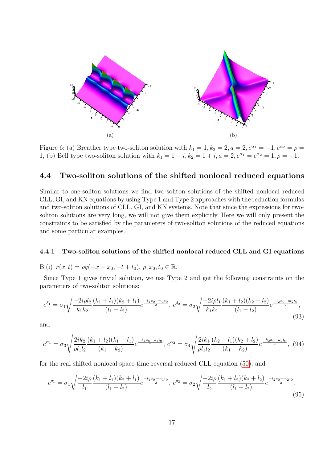

Figure 6: (a) Breather type two-soliton solution with  $k_1 = 1, k_2 = 2, a = 2, e^{\alpha_1} = -1, e^{\alpha_2} = \rho =$ 1, (b) Bell type two-soliton solution with  $k_1 = 1 - i$ ,  $k_2 = 1 + i$ ,  $a = 2$ ,  $e^{\alpha_1} = e^{\alpha_2} = 1$ ,  $\rho = -1$ .

### 4.4 Two-soliton solutions of the shifted nonlocal reduced equations

Similar to one-soliton solutions we find two-soliton solutions of the shifted nonlocal reduced CLL, GI, and KN equations by using Type 1 and Type 2 approaches with the reduction formulas and two-soliton solutions of CLL, GI, and KN systems. Note that since the expressions for twosoliton solutions are very long, we will not give them explicitly. Here we will only present the constraints to be satisfied by the parameters of two-soliton solutions of the reduced equations and some particular examples.

#### 4.4.1 Two-soliton solutions of the shifted nonlocal reduced CLL and GI equations

B.(i) 
$$
r(x,t) = \rho q(-x + x_0, -t + t_0), \rho, x_0, t_0 \in \mathbb{R}
$$
.

Since Type 1 gives trivial solution, we use Type 2 and get the following constraints on the parameters of two-soliton solutions:

$$
e^{\delta_1} = \sigma_1 \sqrt{\frac{-2i\rho l_2}{k_1 k_2}} \frac{(k_1 + l_1)(k_2 + l_1)}{(l_1 - l_2)} e^{\frac{-l_1 x_0 - m_1 t_0}{2}}, \ e^{\delta_2} = \sigma_2 \sqrt{\frac{-2i\rho l_1}{k_1 k_2}} \frac{(k_1 + l_2)(k_2 + l_2)}{(l_1 - l_2)} e^{\frac{-l_2 x_0 - m_2 t_0}{2}}, \tag{93}
$$

and

$$
e^{\alpha_1} = \sigma_3 \sqrt{\frac{2ik_2}{\rho l_1 l_2}} \frac{(k_1 + l_2)(k_1 + l_1)}{(k_1 - k_2)} e^{\frac{-k_1 x_0 - \omega_1 t_0}{2}}, \ e^{\alpha_2} = \sigma_4 \sqrt{\frac{2ik_1}{\rho l_1 l_2}} \frac{(k_2 + l_1)(k_2 + l_2)}{(k_1 - k_2)} e^{\frac{-k_2 x_0 - \omega_2 t_0}{2}}, \ (94)
$$

for the real shifted nonlocal space-time reversal reduced CLL equation [\(50\)](#page-6-3), and

$$
e^{\delta_1} = \sigma_1 \sqrt{\frac{-2i\rho}{l_1} \frac{(k_1 + l_1)(k_2 + l_1)}{(l_1 - l_2)}} e^{\frac{-l_1 x_0 - m_1 t_0}{2}}, \ e^{\delta_2} = \sigma_2 \sqrt{\frac{-2i\rho}{l_2} \frac{(k_1 + l_2)(k_2 + l_2)}{(l_1 - l_2)}} e^{\frac{-l_2 x_0 - m_2 t_0}{2}}, \tag{95}
$$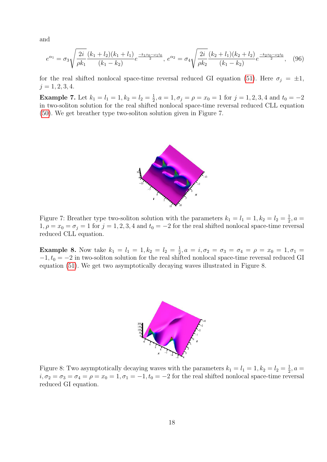and

$$
e^{\alpha_1} = \sigma_3 \sqrt{\frac{2i}{\rho k_1}} \frac{(k_1 + l_2)(k_1 + l_1)}{(k_1 - k_2)} e^{\frac{-k_1 x_0 - \omega_1 t_0}{2}}, \ e^{\alpha_2} = \sigma_4 \sqrt{\frac{2i}{\rho k_2}} \frac{(k_2 + l_1)(k_2 + l_2)}{(k_1 - k_2)} e^{\frac{-k_2 x_0 - \omega_2 t_0}{2}}, \tag{96}
$$

for the real shifted nonlocal space-time reversal reduced GI equation [\(51\)](#page-6-4). Here  $\sigma_j = \pm 1$ ,  $j = 1, 2, 3, 4.$ 

**Example 7.** Let  $k_1 = l_1 = 1, k_2 = l_2 = \frac{1}{2}$  $\frac{1}{2}$ ,  $a = 1$ ,  $\sigma_j = \rho = x_0 = 1$  for  $j = 1, 2, 3, 4$  and  $t_0 = -2$ in two-soliton solution for the real shifted nonlocal space-time reversal reduced CLL equation [\(50\)](#page-6-3). We get breather type two-soliton solution given in Figure 7.



Figure 7: Breather type two-soliton solution with the parameters  $k_1 = l_1 = 1, k_2 = l_2 = \frac{1}{2}$  $\frac{1}{2}$ ,  $a =$  $1, \rho = x_0 = \sigma_j = 1$  for  $j = 1, 2, 3, 4$  and  $t_0 = -2$  for the real shifted nonlocal space-time reversal reduced CLL equation.

**Example 8.** Now take  $k_1 = l_1 = 1, k_2 = l_2 = \frac{1}{2}$  $\frac{1}{2}$ ,  $a = i$ ,  $\sigma_2 = \sigma_3 = \sigma_4 = \rho = x_0 = 1$ ,  $\sigma_1 =$  $-1, t_0 = -2$  in two-soliton solution for the real shifted nonlocal space-time reversal reduced GI equation [\(51\)](#page-6-4). We get two asymptotically decaying waves illustrated in Figure 8.



Figure 8: Two asymptotically decaying waves with the parameters  $k_1 = l_1 = 1, k_2 = l_2 = \frac{1}{2}$  $\frac{1}{2}$ ,  $a =$  $i, \sigma_2 = \sigma_3 = \sigma_4 = \rho = x_0 = 1, \sigma_1 = -1, t_0 = -2$  for the real shifted nonlocal space-time reversal reduced GI equation.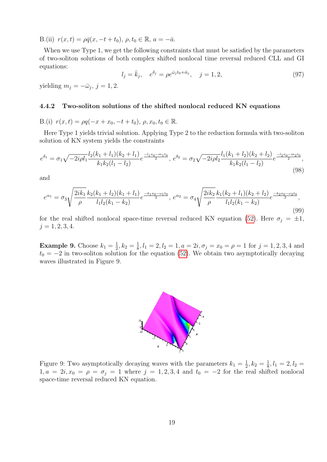B.(ii)  $r(x,t) = \rho \bar{q}(x, -t + t_0), \rho, t_0 \in \mathbb{R}, a = -\bar{a}.$ 

When we use Type 1, we get the following constraints that must be satisfied by the parameters of two-soliton solutions of both complex shifted nonlocal time reversal reduced CLL and GI equations:

$$
l_j = \bar{k}_j, \quad e^{\delta_j} = \rho e^{\bar{\omega}_j t_0 + \bar{\alpha}_j}, \quad j = 1, 2,
$$
\n(97)

yielding  $m_j = -\bar{\omega}_j$ ,  $j = 1, 2$ .

#### 4.4.2 Two-soliton solutions of the shifted nonlocal reduced KN equations

B.(i) 
$$
r(x,t) = \rho q(-x + x_0, -t + t_0), \rho, x_0, t_0 \in \mathbb{R}
$$
.

Here Type 1 yields trivial solution. Applying Type 2 to the reduction formula with two-soliton solution of KN system yields the constraints

$$
e^{\delta_1} = \sigma_1 \sqrt{-2i\rho l_1} \frac{l_2(k_1 + l_1)(k_2 + l_1)}{k_1 k_2(l_1 - l_2)} e^{\frac{-l_1 x_0 - m_1 t_0}{2}}, \ e^{\delta_2} = \sigma_2 \sqrt{-2i\rho l_2} \frac{l_1(k_1 + l_2)(k_2 + l_2)}{k_1 k_2(l_1 - l_2)} e^{\frac{-l_2 x_0 - m_2 t_0}{2}}, \tag{98}
$$

and

$$
e^{\alpha_1} = \sigma_3 \sqrt{\frac{2ik_1}{\rho}} \frac{k_2(k_1 + l_2)(k_1 + l_1)}{l_1 l_2(k_1 - k_2)} e^{\frac{-k_1 x_0 - \omega_1 t_0}{2}}, \ e^{\alpha_2} = \sigma_4 \sqrt{\frac{2ik_2}{\rho}} \frac{k_1(k_2 + l_1)(k_2 + l_2)}{l_1 l_2(k_1 - k_2)} e^{\frac{-k_2 x_0 - \omega_2 t_0}{2}}, \tag{99}
$$

for the real shifted nonlocal space-time reversal reduced KN equation [\(52\)](#page-6-5). Here  $\sigma_j = \pm 1$ ,  $j = 1, 2, 3, 4.$ 

**Example 9.** Choose  $k_1 = \frac{1}{2}$  $\frac{1}{2}, k_2 = \frac{1}{8}$  $\frac{1}{8}$ ,  $l_1 = 2$ ,  $l_2 = 1$ ,  $a = 2i$ ,  $\sigma_j = x_0 = \rho = 1$  for  $j = 1, 2, 3, 4$  and  $t_0 = -2$  in two-soliton solution for the equation [\(52\)](#page-6-5). We obtain two asymptotically decaying waves illustrated in Figure 9.



Figure 9: Two asymptotically decaying waves with the parameters  $k_1 = \frac{1}{2}$  $\frac{1}{2}, k_2 = \frac{1}{8}$  $\frac{1}{8}$ ,  $l_1 = 2$ ,  $l_2 =$  $1, a = 2i, x_0 = \rho = \sigma_j = 1$  where  $j = 1, 2, 3, 4$  and  $t_0 = -2$  for the real shifted nonlocal space-time reversal reduced KN equation.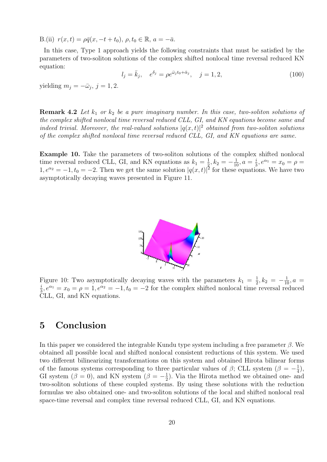B.(ii)  $r(x, t) = \rho \bar{q}(x, -t + t_0), \rho, t_0 \in \mathbb{R}, a = -\bar{a}$ .

In this case, Type 1 approach yields the following constraints that must be satisfied by the parameters of two-soliton solutions of the complex shifted nonlocal time reversal reduced KN equation:

$$
l_j = \bar{k}_j, \quad e^{\delta_j} = \rho e^{\bar{\omega}_j t_0 + \bar{\alpha}_j}, \quad j = 1, 2,
$$
\n(100)

yielding  $m_j = -\bar{\omega}_j$ ,  $j = 1, 2$ .

**Remark 4.2** Let  $k_1$  or  $k_2$  be a pure imaginary number. In this case, two-soliton solutions of the complex shifted nonlocal time reversal reduced CLL, GI, and KN equations become same and indeed trivial. Moreover, the real-valued solutions  $|q(x,t)|^2$  obtained from two-soliton solutions of the complex shifted nonlocal time reversal reduced CLL, GI, and KN equations are same.

Example 10. Take the parameters of two-soliton solutions of the complex shifted nonlocal time reversal reduced CLL, GI, and KN equations as  $k_1 = \frac{1}{2}$  $\frac{1}{2}, k_2 = -\frac{1}{10}, a = \frac{i}{3}$  $\frac{i}{3}, e^{\alpha_1} = x_0 = \rho =$  $1, e^{\alpha_2} = -1, t_0 = -2$ . Then we get the same solution  $|q(x, t)|^2$  for these equations. We have two asymptotically decaying waves presented in Figure 11.



Figure 10: Two asymptotically decaying waves with the parameters  $k_1 = \frac{1}{2}$ Figure 10: Two asymptotically decaying waves with the parameters  $k_1 = \frac{1}{2}, k_2 = -\frac{1}{10}, a = i$ <br> $e^{i\theta}$  $\frac{i}{3}$ ,  $e^{\alpha_1} = x_0 = \rho = 1$ ,  $e^{\alpha_2} = -1$ ,  $t_0 = -2$  for the complex shifted nonlocal time reversal reduced CLL, GI, and KN equations.

# 5 Conclusion

In this paper we considered the integrable Kundu type system including a free parameter  $\beta$ . We obtained all possible local and shifted nonlocal consistent reductions of this system. We used two different bilinearizing transformations on this system and obtained Hirota bilinear forms of the famous systems corresponding to three particular values of  $\beta$ ; CLL system ( $\beta = -\frac{1}{4}$ )  $(\frac{1}{4}),$ GI system ( $\beta = 0$ ), and KN system ( $\beta = -\frac{1}{2}$ )  $\frac{1}{2}$ ). Via the Hirota method we obtained one- and two-soliton solutions of these coupled systems. By using these solutions with the reduction formulas we also obtained one- and two-soliton solutions of the local and shifted nonlocal real space-time reversal and complex time reversal reduced CLL, GI, and KN equations.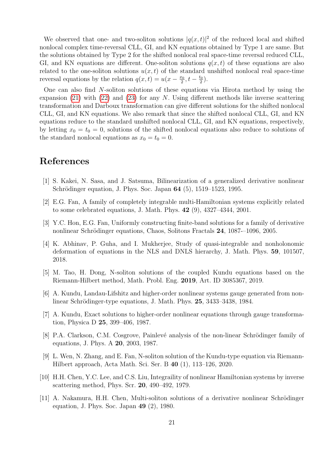We observed that one- and two-soliton solutions  $|q(x,t)|^2$  of the reduced local and shifted nonlocal complex time-reversal CLL, GI, and KN equations obtained by Type 1 are same. But the solutions obtained by Type 2 for the shifted nonlocal real space-time reversal reduced CLL, GI, and KN equations are different. One-soliton solutions  $q(x, t)$  of these equations are also related to the one-soliton solutions  $u(x, t)$  of the standard unshifted nonlocal real space-time reversal equations by the relation  $q(x,t) = u(x - \frac{x_0}{2})$  $\frac{x_0}{2}, t-\frac{t_0}{2}$  $rac{t_0}{2}$ .

One can also find N-soliton solutions of these equations via Hirota method by using the expansion [\(21\)](#page-2-4) with [\(22\)](#page-3-0) and [\(23\)](#page-3-1) for any N. Using different methods like inverse scattering transformation and Darboux transformation can give different solutions for the shifted nonlocal CLL, GI, and KN equations. We also remark that since the shifted nonlocal CLL, GI, and KN equations reduce to the standard unshifted nonlocal CLL, GI, and KN equations, respectively, by letting  $x_0 = t_0 = 0$ , solutions of the shifted nonlocal equations also reduce to solutions of the standard nonlocal equations as  $x_0 = t_0 = 0$ .

# References

- <span id="page-20-0"></span>[1] S. Kakei, N. Sasa, and J. Satsuma, Bilinearization of a generalized derivative nonlinear Schrödinger equation, J. Phys. Soc. Japan 64 (5), 1519–1523, 1995.
- [2] E.G. Fan, A family of completely integrable multi-Hamiltonian systems explicitly related to some celebrated equations, J. Math. Phys. 42 (9), 4327–4344, 2001.
- [3] Y.C. Hon, E.G. Fan, Uniformly constructing finite-band solutions for a family of derivative nonlinear Schrödinger equations, Chaos, Solitons Fractals 24, 1087-–1096, 2005.
- [4] K. Abhinav, P. Guha, and I. Mukherjee, Study of quasi-integrable and nonholonomic deformation of equations in the NLS and DNLS hierarchy, J. Math. Phys. 59, 101507, 2018.
- <span id="page-20-1"></span>[5] M. Tao, H. Dong, N-soliton solutions of the coupled Kundu equations based on the Riemann-Hilbert method, Math. Probl. Eng. 2019, Art. ID 3085367, 2019.
- <span id="page-20-2"></span>[6] A. Kundu, Landau-Lifshitz and higher-order nonlinear systems gauge generated from nonlinear Schrödinger-type equations, J. Math. Phys. 25, 3433–3438, 1984.
- <span id="page-20-3"></span>[7] A. Kundu, Exact solutions to higher-order nonlinear equations through gauge transformation, Physica D 25, 399–406, 1987.
- <span id="page-20-4"></span>[8] P.A. Clarkson, C.M. Cosgrove, Painlevé analysis of the non-linear Schrödinger family of equations, J. Phys. A 20, 2003, 1987.
- <span id="page-20-5"></span>[9] L. Wen, N. Zhang, and E. Fan, N-soliton solution of the Kundu-type equation via Riemann-Hilbert approach, Acta Math. Sci. Ser. B 40 (1), 113–126, 2020.
- <span id="page-20-6"></span>[10] H.H. Chen, Y.C. Lee, and C.S. Liu, Integraility of nonlinear Hamiltonian systems by inverse scattering method, Phys. Scr. 20, 490–492, 1979.
- [11] A. Nakamura, H.H. Chen, Multi-soliton solutions of a derivative nonlinear Schrödinger equation, J. Phys. Soc. Japan 49 (2), 1980.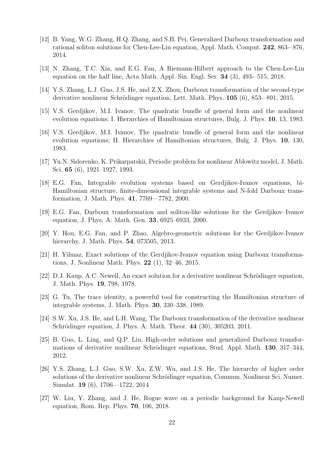- [12] B. Yang, W.G. Zhang, H.Q. Zhang, and S.B. Pei, Generalized Darboux transformation and rational soliton solutions for Chen-Lee-Liu equation, Appl. Math. Comput. 242, 863-–876, 2014.
- [13] N. Zhang, T.C. Xia, and E.G. Fan, A Riemann-Hilbert approach to the Chen-Lee-Liu equation on the half line, Acta Math. Appl. Sin. Engl. Ser. 34 (3), 493-–515, 2018.
- <span id="page-21-0"></span>[14] Y.S. Zhang, L.J. Guo, J.S. He, and Z.X. Zhou, Darboux transformation of the second-type derivative nonlinear Schrödinger equation, Lett. Math. Phys.  $105$  (6), 853-–891, 2015.
- <span id="page-21-1"></span>[15] V.S. Gerdjikov, M.I. Ivanov, The quadratic bundle of general form and the nonlinear evolution equations; I. Hierarchies of Hamiltonian structures, Bulg. J. Phys. 10, 13, 1983.
- [16] V.S. Gerdjikov, M.I. Ivanov, The quadratic bundle of general form and the nonlinear evolution equations; II. Hierarchies of Hamiltonian structures, Bulg. J. Phys. 10, 130, 1983.
- [17] Yu.N. Sidorenko, K. Prikarpatskii, Periodic problem for nonlinear Ablowitz model, J. Math. Sci. 65 (6), 1921–1927, 1993.
- [18] E.G. Fan, Integrable evolution systems based on Gerdjikov-Ivanov equations, bi-Hamiltonian structure, finite-dimensional integrable systems and N-fold Darboux transformation, J. Math. Phys. 41, 7769—7782, 2000.
- [19] E.G. Fan, Darboux transformation and soliton-like solutions for the Gerdjikov–Ivanov equation, J. Phys. A: Math. Gen. 33, 6925–6933, 2000.
- [20] Y. Hou, E.G. Fan, and P. Zhao, Algebro-geometric solutions for the Gerdjikov-Ivanov hierarchy, J. Math. Phys. **54**, 073505, 2013.
- <span id="page-21-2"></span>[21] H. Yilmaz, Exact solutions of the Gerdjikov-Ivanov equation using Darboux transformations, J. Nonlinear Math. Phys. 22 (1), 32–46, 2015.
- <span id="page-21-3"></span>[22] D.J. Kaup, A.C. Newell, An exact solution for a derivative nonlinear Schrödinger equation, J. Math. Phys. 19, 798, 1978.
- [23] G. Tu, The trace identity, a powerful tool for constructing the Hamiltonian structure of integrable systems, J. Math. Phys. 30, 330–338, 1989.
- [24] S.W. Xu, J.S. He, and L.H. Wang, The Darboux transformation of the derivative nonlinear Schrödinger equation, J. Phys. A: Math. Theor. 44 (30), 305203, 2011.
- [25] B. Guo, L. Ling, and Q.P. Liu, High-order solutions and generalized Darboux transformations of derivative nonlinear Schrödinger equations, Stud. Appl. Math. 130, 317–344, 2012.
- [26] Y.S. Zhang, L.J. Guo, S.W. Xu, Z.W. Wu, and J.S. He, The hierarchy of higher order solutions of the derivative nonlinear Schrödinger equation, Commun. Nonlinear Sci. Numer. Simulat. 19 (6), 1706—1722, 2014
- <span id="page-21-4"></span>[27] W. Liu, Y. Zhang, and J. He, Rogue wave on a periodic background for Kaup-Newell equation, Rom. Rep. Phys. 70, 106, 2018.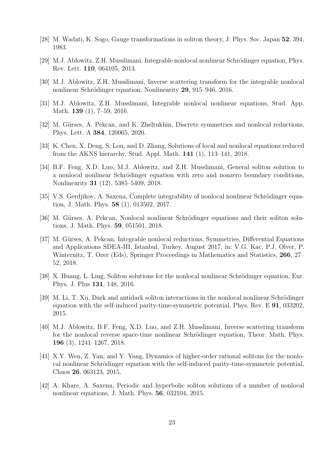- <span id="page-22-0"></span>[28] M. Wadati, K. Sogo, Gauge transformations in soliton theory, J. Phys. Soc. Japan 52, 394, 1983.
- <span id="page-22-1"></span>[29] M.J. Ablowitz, Z.H. Musslimani, Integrable nonlocal nonlinear Schrödinger equation, Phys. Rev. Lett. 110, 064105, 2013.
- <span id="page-22-5"></span>[30] M.J. Ablowitz, Z.H. Musslimani, Inverse scattering transform for the integrable nonlocal nonlinear Schrödinger equation, Nonlinearity 29, 915–946, 2016.
- <span id="page-22-2"></span>[31] M.J. Ablowitz, Z.H. Musslimani, Integrable nonlocal nonlinear equations, Stud. App. Math. **139** (1), 7–59, 2016.
- <span id="page-22-3"></span>[32] M. Gürses, A. Pekcan, and K. Zheltukhin, Discrete symmetries and nonlocal reductions, Phys. Lett. A 384, 120065, 2020.
- <span id="page-22-4"></span>[33] K. Chen, X. Deng, S. Lou, and D. Zhang, Solutions of local and nonlocal equations reduced from the AKNS hierarchy, Stud. Appl. Math. 141 (1), 113–141, 2018.
- [34] B.F. Feng, X.D. Luo, M.J. Ablowitz, and Z.H. Musslimani, General soliton solution to a nonlocal nonlinear Schrödinger equation with zero and nonzero boundary conditions, Nonlinearity 31 (12), 5385–5409, 2018.
- [35] V.S. Gerdjikov, A. Saxena, Complete integrability of nonlocal nonlinear Schrödinger equation, J. Math. Phys. 58 (1), 013502, 2017.
- <span id="page-22-7"></span>[36] M. Gürses, A. Pekcan, Nonlocal nonlinear Schrödinger equations and their soliton solutions, J. Math. Phys. 59, 051501, 2018.
- <span id="page-22-6"></span>[37] M. Gürses, A. Pekcan, Integrable nonlocal reductions, Symmetries, Differential Equations and Applications SDEA-III, Istanbul, Turkey, August 2017, in: V.G. Kac, P.J. Olver, P. Winternitz, T. Ozer (Eds), Springer Proceedings in Mathematics and Statistics, 266, 27– 52, 2018.
- [38] X. Huang, L. Ling, Soliton solutions for the nonlocal nonlinear Schrödinger equation, Eur. Phys. J. Plus 131, 148, 2016.
- [39] M. Li, T. Xu, Dark and antidark soliton interactions in the nonlocal nonlinear Schrödinger equation with the self-induced parity-time-symmetric potential, Phys. Rev. E 91, 033202, 2015.
- [40] M.J. Ablowitz, B.F. Feng, X.D. Luo, and Z.H. Musslimani, Inverse scattering transform for the nonlocal reverse space-time nonlinear Schrödinger equation, Theor. Math. Phys. 196 (3), 1241–1267, 2018.
- [41] X.Y. Wen, Z. Yan, and Y. Yang, Dynamics of higher-order rational solitons for the nonlocal nonlinear Schrödinger equation with the self-induced parity-time-symmetric potential, Chaos 26, 063123, 2015.
- [42] A. Khare, A. Saxena, Periodic and hyperbolic soliton solutions of a number of nonlocal nonlinear equations, J. Math. Phys. 56, 032104, 2015.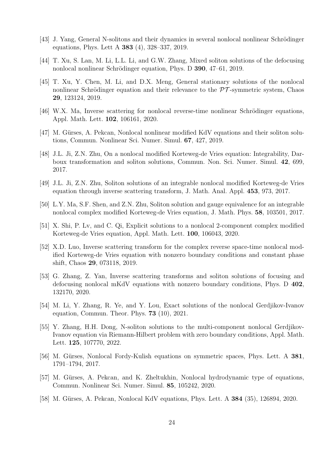- [43] J. Yang, General N-solitons and their dynamics in several nonlocal nonlinear Schrödinger equations, Phys. Lett A 383 (4), 328–337, 2019.
- [44] T. Xu, S. Lan, M. Li, L.L. Li, and G.W. Zhang, Mixed soliton solutions of the defocusing nonlocal nonlinear Schrödinger equation, Phys. D 390, 47–61, 2019.
- [45] T. Xu, Y. Chen, M. Li, and D.X. Meng, General stationary solutions of the nonlocal nonlinear Schrödinger equation and their relevance to the  $\mathcal{PT}$ -symmetric system, Chaos 29, 123124, 2019.
- <span id="page-23-0"></span>[46] W.X. Ma, Inverse scattering for nonlocal reverse-time nonlinear Schrödinger equations, Appl. Math. Lett. 102, 106161, 2020.
- <span id="page-23-1"></span>[47] M. Gürses, A. Pekcan, Nonlocal nonlinear modified KdV equations and their soliton solutions, Commun. Nonlinear Sci. Numer. Simul. 67, 427, 2019.
- [48] J.L. Ji, Z.N. Zhu, On a nonlocal modified Korteweg-de Vries equation: Integrability, Darboux transformation and soliton solutions, Commun. Non. Sci. Numer. Simul. 42, 699, 2017.
- [49] J.L. Ji, Z.N. Zhu, Soliton solutions of an integrable nonlocal modified Korteweg-de Vries equation through inverse scattering transform, J. Math. Anal. Appl. 453, 973, 2017.
- [50] L.Y. Ma, S.F. Shen, and Z.N. Zhu, Soliton solution and gauge equivalence for an integrable nonlocal complex modified Korteweg-de Vries equation, J. Math. Phys. 58, 103501, 2017.
- [51] X. Shi, P. Lv, and C. Qi, Explicit solutions to a nonlocal 2-component complex modified Korteweg-de Vries equation, Appl. Math. Lett. 100, 106043, 2020.
- [52] X.D. Luo, Inverse scattering transform for the complex reverse space-time nonlocal modified Korteweg-de Vries equation with nonzero boundary conditions and constant phase shift, Chaos 29, 073118, 2019.
- <span id="page-23-2"></span>[53] G. Zhang, Z. Yan, Inverse scattering transforms and soliton solutions of focusing and defocusing nonlocal mKdV equations with nonzero boundary conditions, Phys. D 402, 132170, 2020.
- <span id="page-23-3"></span>[54] M. Li, Y. Zhang, R. Ye, and Y. Lou, Exact solutions of the nonlocal Gerdjikov-Ivanov equation, Commun. Theor. Phys. 73 (10), 2021.
- <span id="page-23-4"></span>[55] Y. Zhang, H.H. Dong, N-soliton solutions to the multi-component nonlocal Gerdjikov-Ivanov equation via Riemann-Hilbert problem with zero boundary conditions, Appl. Math. Lett. 125, 107770, 2022.
- <span id="page-23-5"></span>[56] M. Gürses, Nonlocal Fordy-Kulish equations on symmetric spaces, Phys. Lett. A 381, 1791–1794, 2017.
- [57] M. Gürses, A. Pekcan, and K. Zheltukhin, Nonlocal hydrodynamic type of equations, Commun. Nonlinear Sci. Numer. Simul. 85, 105242, 2020.
- [58] M. Gürses, A. Pekcan, Nonlocal KdV equations, Phys. Lett. A **384** (35), 126894, 2020.